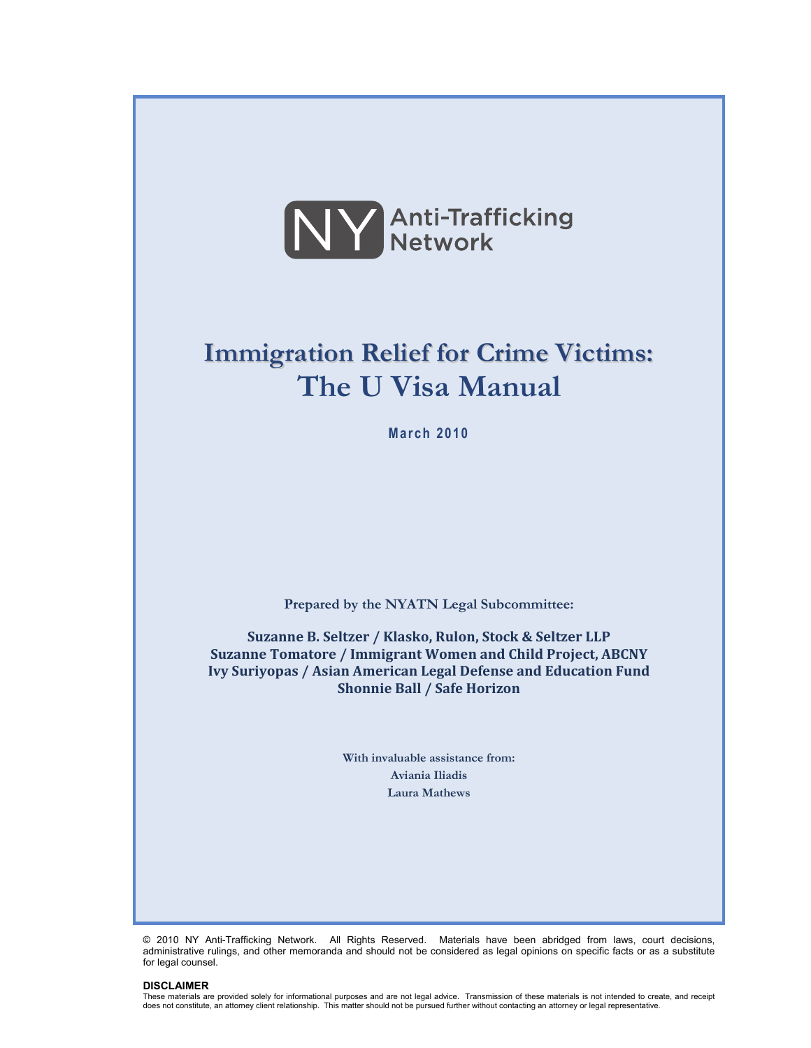

# **Immigration Relief for Crime Victims: The U Visa Manual**

**March 2010** 

**Prepared by the NYATN Legal Subcommittee:** 

**Suzanne B. Seltzer / Klasko, Rulon, Stock & Seltzer LLP Suzanne Tomatore / Immigrant Women and Child Project, ABCNY Ivy Suriyopas / Asian American Legal Defense and Education Fund Shonnie Ball / Safe Horizon**

> **With invaluable assistance from: Aviania Iliadis Laura Mathews**

© 2010 NY Anti-Trafficking Network. All Rights Reserved. Materials have been abridged from laws, court decisions, administrative rulings, and other memoranda and should not be considered as legal opinions on specific facts or as a substitute for legal counsel.

#### **DISCLAIMER**

These materials are provided solely for informational purposes and are not legal advice. Transmission of these materials is not intended to create, and receipt does not constitute, an attorney client relationship. This matter should not be pursued further without contacting an attorney or legal representative.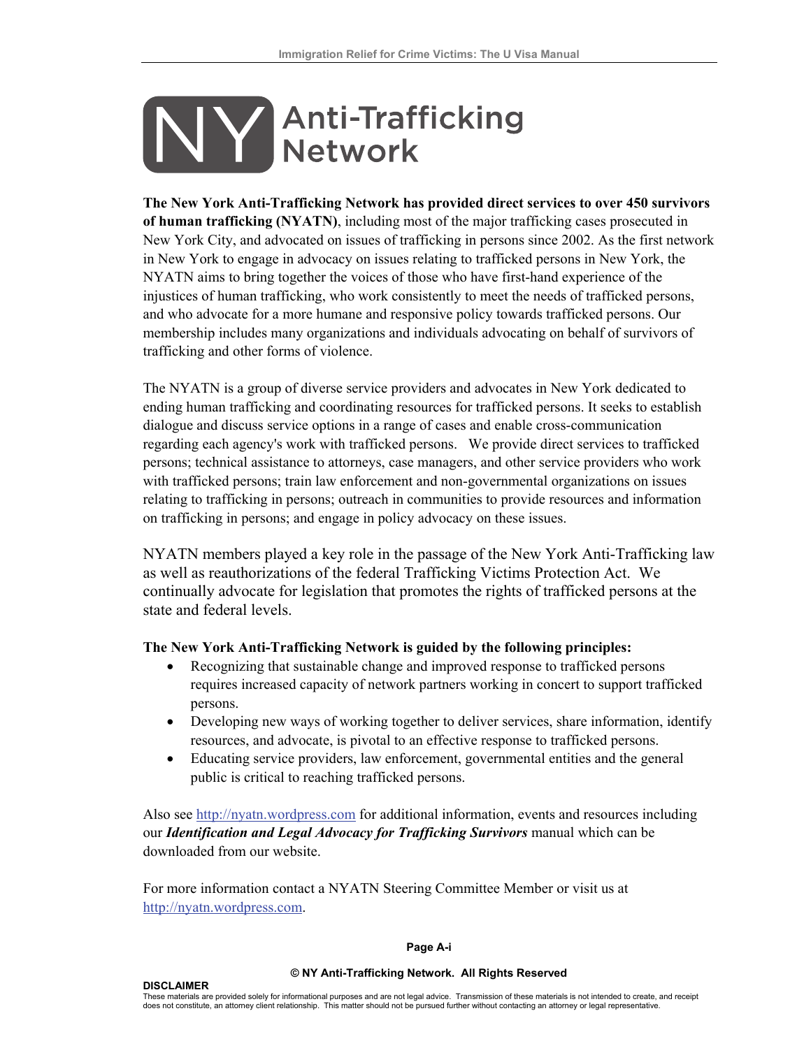# **Y** Anti-Trafficking

**The New York Anti-Trafficking Network has provided direct services to over 450 survivors of human trafficking (NYATN)**, including most of the major trafficking cases prosecuted in New York City, and advocated on issues of trafficking in persons since 2002. As the first network in New York to engage in advocacy on issues relating to trafficked persons in New York, the NYATN aims to bring together the voices of those who have first-hand experience of the injustices of human trafficking, who work consistently to meet the needs of trafficked persons, and who advocate for a more humane and responsive policy towards trafficked persons. Our membership includes many organizations and individuals advocating on behalf of survivors of trafficking and other forms of violence.

The NYATN is a group of diverse service providers and advocates in New York dedicated to ending human trafficking and coordinating resources for trafficked persons. It seeks to establish dialogue and discuss service options in a range of cases and enable cross-communication regarding each agency's work with trafficked persons. We provide direct services to trafficked persons; technical assistance to attorneys, case managers, and other service providers who work with trafficked persons; train law enforcement and non-governmental organizations on issues relating to trafficking in persons; outreach in communities to provide resources and information on trafficking in persons; and engage in policy advocacy on these issues.

NYATN members played a key role in the passage of the New York Anti-Trafficking law as well as reauthorizations of the federal Trafficking Victims Protection Act. We continually advocate for legislation that promotes the rights of trafficked persons at the state and federal levels.

#### **The New York Anti-Trafficking Network is guided by the following principles:**

- Recognizing that sustainable change and improved response to trafficked persons requires increased capacity of network partners working in concert to support trafficked persons.
- Developing new ways of working together to deliver services, share information, identify resources, and advocate, is pivotal to an effective response to trafficked persons.
- Educating service providers, law enforcement, governmental entities and the general public is critical to reaching trafficked persons.

Also see [http://nyatn.wordpress.com](http://nyatn.wordpress.com/) for additional information, events and resources including our *Identification and Legal Advocacy for Trafficking Survivors* manual which can be downloaded from our website.

For more information contact a NYATN Steering Committee Member or visit us at [http://nyatn.wordpress.com](http://nyatn.wordpress.com/).

#### **Page A-i**

#### **© NY Anti-Trafficking Network. All Rights Reserved**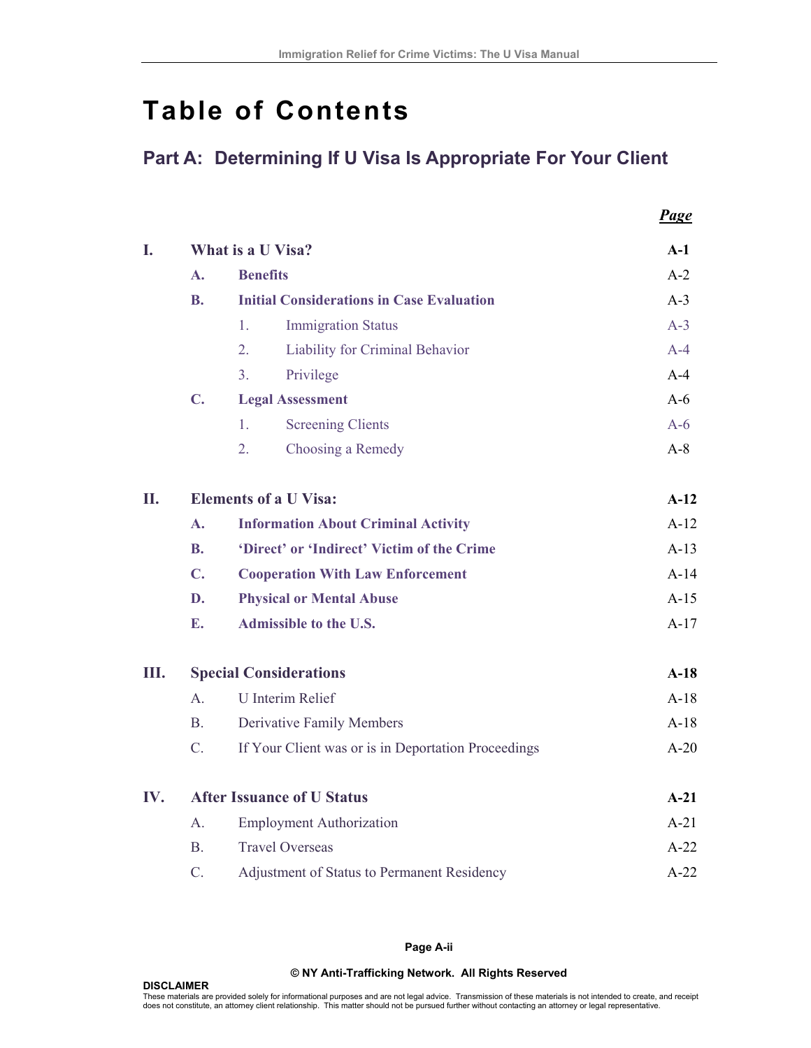*Page*

# **Table of Contents**

# **Part A: Determining If U Visa Is Appropriate For Your Client**

| I.  | What is a U Visa?             |                                                     |        |        |  |
|-----|-------------------------------|-----------------------------------------------------|--------|--------|--|
|     | $\mathbf{A}$ .                | <b>Benefits</b>                                     |        |        |  |
|     | <b>B.</b>                     | <b>Initial Considerations in Case Evaluation</b>    |        | $A-3$  |  |
|     |                               | <b>Immigration Status</b><br>1.                     |        | $A-3$  |  |
|     |                               | $\overline{2}$ .<br>Liability for Criminal Behavior |        | $A-4$  |  |
|     |                               | 3 <sub>1</sub><br>Privilege                         |        | $A-4$  |  |
|     | $C_{\bullet}$                 | <b>Legal Assessment</b>                             |        | $A-6$  |  |
|     |                               | <b>Screening Clients</b><br>$\mathbf{1}$ .          |        | $A-6$  |  |
|     |                               | 2.<br>Choosing a Remedy                             |        | $A-8$  |  |
| II. | <b>Elements of a U Visa:</b>  |                                                     |        | $A-12$ |  |
|     | $\mathbf{A}$ .                | <b>Information About Criminal Activity</b>          |        | $A-12$ |  |
|     | <b>B.</b>                     | 'Direct' or 'Indirect' Victim of the Crime          |        | $A-13$ |  |
|     | $\mathbf{C}$ .                | <b>Cooperation With Law Enforcement</b>             | $A-14$ |        |  |
|     | D.                            | <b>Physical or Mental Abuse</b>                     | $A-15$ |        |  |
|     | E.                            | <b>Admissible to the U.S.</b>                       | $A-17$ |        |  |
| Ш.  | <b>Special Considerations</b> |                                                     |        | $A-18$ |  |
|     | $\mathsf{A}$                  | <b>U</b> Interim Relief                             |        | $A-18$ |  |
|     | B <sub>1</sub>                | <b>Derivative Family Members</b>                    |        | $A-18$ |  |
|     | $C_{\cdot}$                   | If Your Client was or is in Deportation Proceedings | $A-20$ |        |  |
| IV. |                               | <b>After Issuance of U Status</b>                   |        |        |  |
|     | A <sub>1</sub>                | <b>Employment Authorization</b>                     |        | $A-21$ |  |
|     | $\mathbf{B}$                  | <b>Travel Overseas</b>                              | $A-22$ |        |  |
|     | $\mathcal{C}$ .               | Adjustment of Status to Permanent Residency         |        | $A-22$ |  |

**Page A-ii** 

#### **© NY Anti-Trafficking Network. All Rights Reserved**

**DISCLAIMER**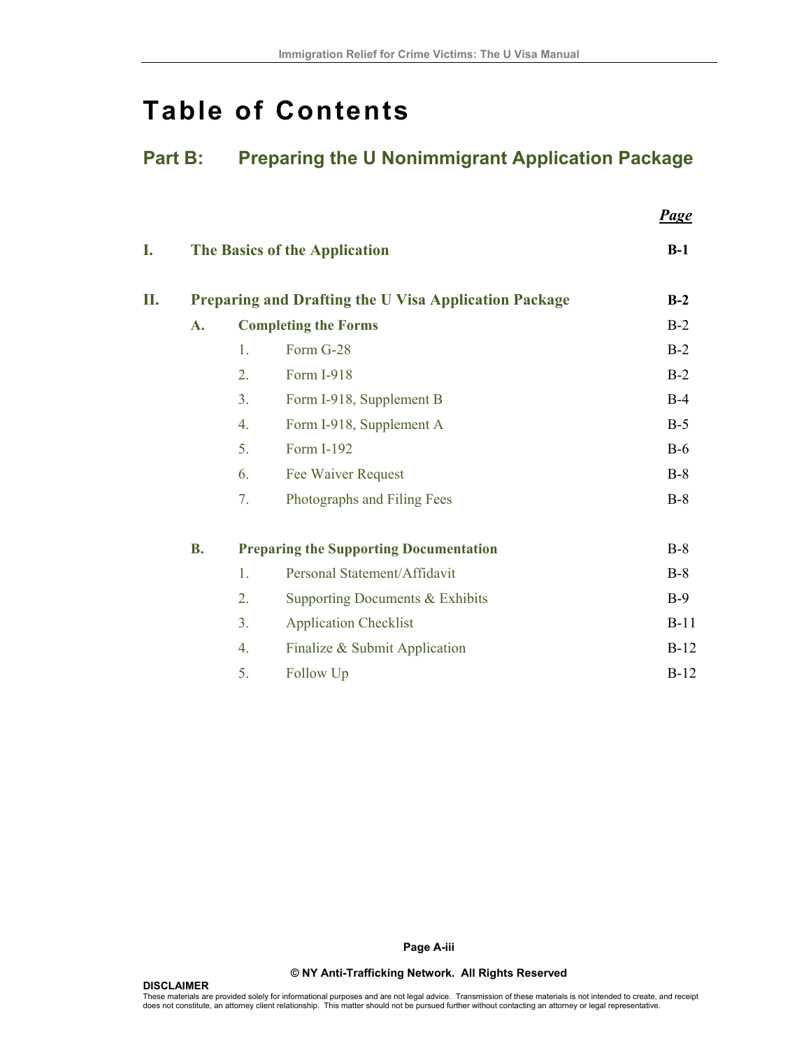# **Table of Contents**

# **Part B: Preparing the U Nonimmigrant Application Package**

 *Page*

| I. |           |                                                              | The Basics of the Application                 | $B-1$  |  |  |
|----|-----------|--------------------------------------------------------------|-----------------------------------------------|--------|--|--|
| П. |           | <b>Preparing and Drafting the U Visa Application Package</b> |                                               |        |  |  |
|    | A.        |                                                              | <b>Completing the Forms</b>                   | $B-2$  |  |  |
|    |           | 1.                                                           | Form G-28                                     | $B-2$  |  |  |
|    |           | 2.                                                           | Form I-918                                    | $B-2$  |  |  |
|    |           | 3 <sub>1</sub>                                               | Form I-918, Supplement B                      | $B-4$  |  |  |
|    |           | 4.                                                           | Form I-918, Supplement A                      | $B-5$  |  |  |
|    |           | 5.                                                           | Form I-192                                    | $B-6$  |  |  |
|    |           | 6.                                                           | Fee Waiver Request                            | $B-8$  |  |  |
|    |           | 7.                                                           | Photographs and Filing Fees                   | $B-8$  |  |  |
|    | <b>B.</b> |                                                              | <b>Preparing the Supporting Documentation</b> | $B-8$  |  |  |
|    |           | 1.                                                           | Personal Statement/Affidavit                  | $B-8$  |  |  |
|    |           | 2.                                                           | Supporting Documents & Exhibits               | $B-9$  |  |  |
|    |           | 3 <sub>1</sub>                                               | <b>Application Checklist</b>                  | $B-11$ |  |  |
|    |           | 4.                                                           | Finalize & Submit Application                 | $B-12$ |  |  |
|    |           | 5.                                                           | Follow Up                                     | $B-12$ |  |  |

**Page A-iii**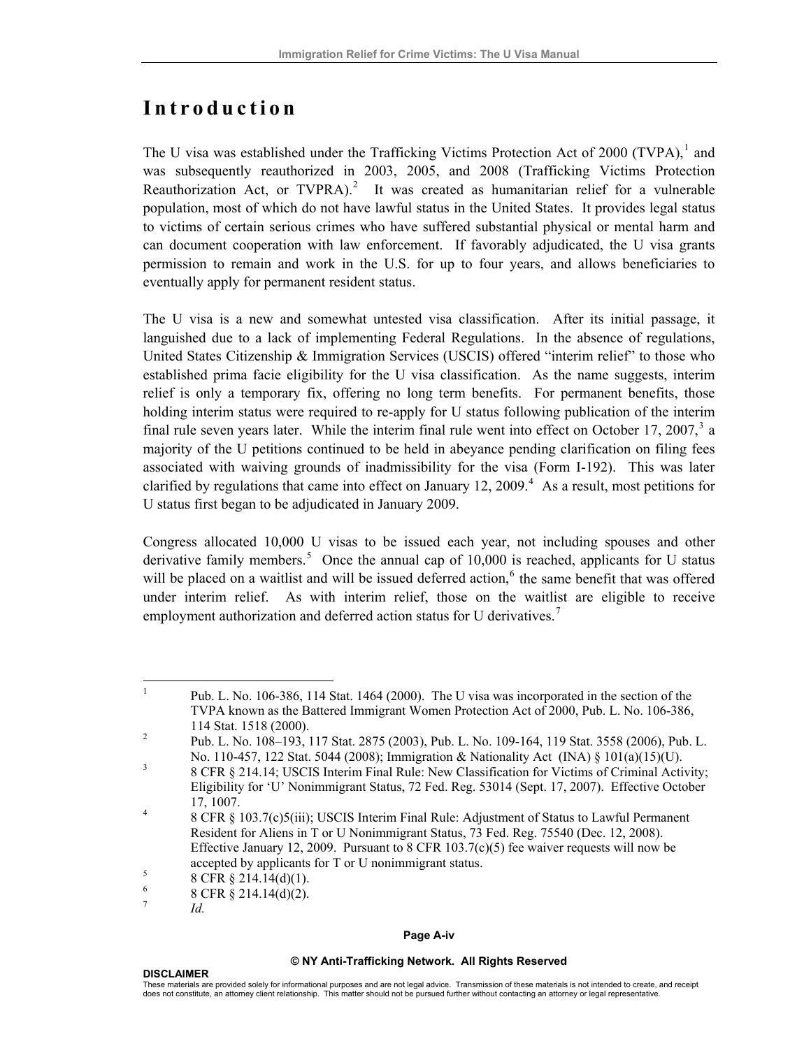# **Introduction**

The U visa was established under the Trafficking Victims Protection Act of 2000 (TVPA),<sup>[1](#page-4-0)</sup> and was subsequently reauthorized in 2003, 2005, and 2008 (Trafficking Victims Protection Reauthorization Act, or TVPRA).<sup>[2](#page-4-1)</sup> It was created as humanitarian relief for a vulnerable population, most of which do not have lawful status in the United States. It provides legal status to victims of certain serious crimes who have suffered substantial physical or mental harm and can document cooperation with law enforcement. If favorably adjudicated, the U visa grants permission to remain and work in the U.S. for up to four years, and allows beneficiaries to eventually apply for permanent resident status.

The U visa is a new and somewhat untested visa classification. After its initial passage, it languished due to a lack of implementing Federal Regulations. In the absence of regulations, United States Citizenship & Immigration Services (USCIS) offered "interim relief" to those who established prima facie eligibility for the U visa classification. As the name suggests, interim relief is only a temporary fix, offering no long term benefits. For permanent benefits, those holding interim status were required to re-apply for U status following publication of the interim final rule seven years later. While the interim final rule went into effect on October 17, 2007, $3$  a majority of the U petitions continued to be held in abeyance pending clarification on filing fees associated with waiving grounds of inadmissibility for the visa (Form I-192). This was later clarified by regulations that came into effect on January 12, 2009. $4$  As a result, most petitions for U status first began to be adjudicated in January 2009.

Congress allocated 10,000 U visas to be issued each year, not including spouses and other derivative family members.<sup>[5](#page-4-4)</sup> Once the annual cap of  $10,000$  is reached, applicants for U status will be placed on a waitlist and will be issued deferred action,<sup>[6](#page-4-5)</sup> the same benefit that was offered under interim relief. As with interim relief, those on the waitlist are eligible to receive employment authorization and deferred action status for U derivatives.<sup>[7](#page-4-6)</sup>

#### **Page A-iv**

#### **© NY Anti-Trafficking Network. All Rights Reserved**

<span id="page-4-0"></span> $\frac{1}{1}$  Pub. L. No. 106-386, 114 Stat. 1464 (2000). The U visa was incorporated in the section of the TVPA known as the Battered Immigrant Women Protection Act of 2000, Pub. L. No. 106-386,  $114 \text{ Stat.} 1518 (2000).$ <br>
<sup>2</sup> Pub L No 108, 103

<span id="page-4-1"></span>Pub. L. No. 108–193, 117 Stat. 2875 (2003), Pub. L. No. 109-164, 119 Stat. 3558 (2006), Pub. L. No. 110-457, 122 Stat. 5044 (2008); Immigration & Nationality Act (INA)  $\S 101(a)(15)(U)$ .<br>3 CER  $\S 214.14$ ; USCIS Interim Einel Bule: New Clessification for Victime of Criminal Action

<span id="page-4-2"></span> <sup>8</sup> CFR § 214.14; USCIS Interim Final Rule: New Classification for Victims of Criminal Activity; Eligibility for 'U' Nonimmigrant Status, 72 Fed. Reg. 53014 (Sept. 17, 2007). Effective October  $17, 1007.$ 

<span id="page-4-3"></span> <sup>8</sup> CFR § 103.7(c)5(iii); USCIS Interim Final Rule: Adjustment of Status to Lawful Permanent Resident for Aliens in T or U Nonimmigrant Status, 73 Fed. Reg. 75540 (Dec. 12, 2008). Effective January 12, 2009. Pursuant to 8 CFR 103.7(c)(5) fee waiver requests will now be accepted by applicants for T or U nonimmigrant status.

 <sup>8</sup> CFR § 214.14(d)(1).

<span id="page-4-6"></span><span id="page-4-5"></span><span id="page-4-4"></span><sup>6</sup> 8 CFR § 214.14(d)(2).

<sup>7</sup> *Id.*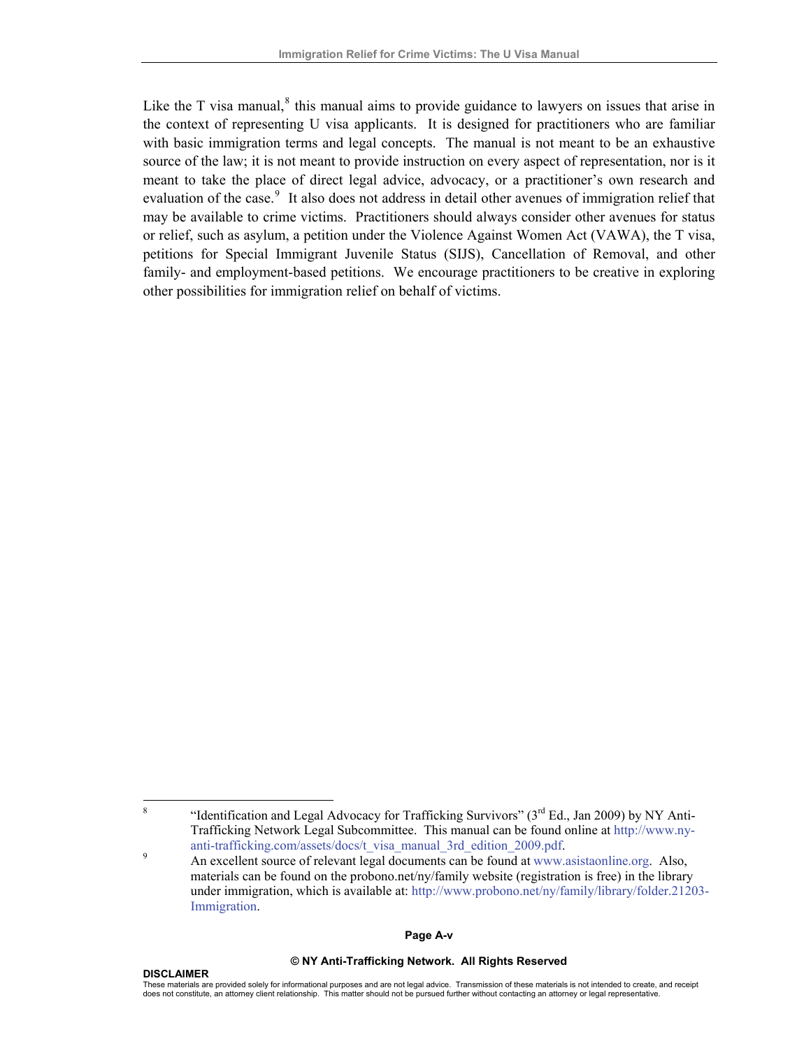Like the T visa manual, $^8$  $^8$  this manual aims to provide guidance to lawyers on issues that arise in the context of representing U visa applicants. It is designed for practitioners who are familiar with basic immigration terms and legal concepts. The manual is not meant to be an exhaustive source of the law; it is not meant to provide instruction on every aspect of representation, nor is it meant to take the place of direct legal advice, advocacy, or a practitioner's own research and evaluation of the case.<sup>[9](#page-5-1)</sup> It also does not address in detail other avenues of immigration relief that may be available to crime victims. Practitioners should always consider other avenues for status or relief, such as asylum, a petition under the Violence Against Women Act (VAWA), the T visa, petitions for Special Immigrant Juvenile Status (SIJS), Cancellation of Removal, and other family- and employment-based petitions. We encourage practitioners to be creative in exploring other possibilities for immigration relief on behalf of victims.

#### **Page A-v**

#### **© NY Anti-Trafficking Network. All Rights Reserved**

<span id="page-5-0"></span> 8 "Identification and Legal Advocacy for Trafficking Survivors" ( $3<sup>rd</sup> Ed.$ , Jan 2009) by NY Anti-Trafficking Network Legal Subcommittee. This manual can be found online at http://www.nyanti-trafficking.com/assets/docs/t\_visa\_manual\_3rd\_edition\_2009.pdf.

<span id="page-5-1"></span>An excellent source of relevant legal documents can be found at [www.asistaonline.org](http://www.asistaonline.org/). Also, materials can be found on the probono.net/ny/family website (registration is free) in the library under immigration, which is available at: [http://www.probono.net/ny/family/library/folder.21203-](http://www.probono.net/ny/family/library/folder.21203-Immigration) [Immigration.](http://www.probono.net/ny/family/library/folder.21203-Immigration)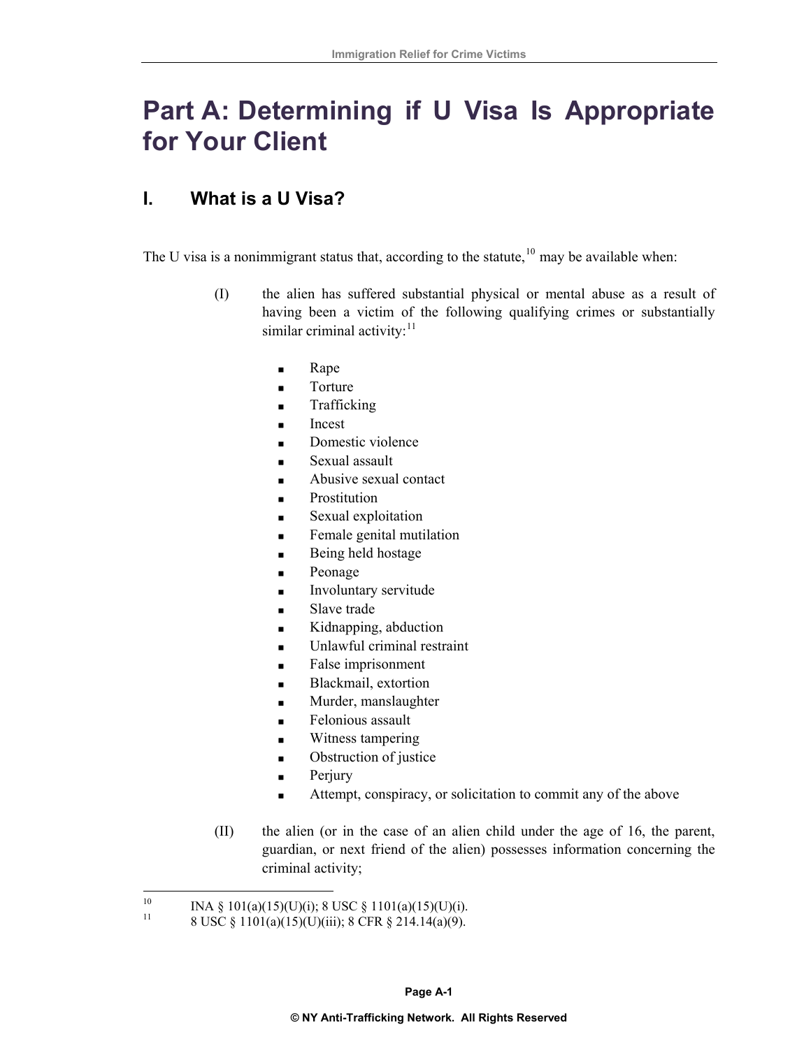# **Part A: Determining if U Visa Is Appropriate for Your Client**

# **I. What is a U Visa?**

The U visa is a nonimmigrant status that, according to the statute,  $10$  may be available when:

- (I) the alien has suffered substantial physical or mental abuse as a result of having been a victim of the following qualifying crimes or substantially similar criminal activity: $11$ 
	- **Rape**
	- **Torture**
	- Trafficking
	- **Incest**
	- Domestic violence
	- Sexual assault
	- Abusive sexual contact
	- Prostitution
	- Sexual exploitation
	- **Female genital mutilation**
	- Being held hostage
	- Peonage
	- **Involuntary servitude**
	- Slave trade
	- Kidnapping, abduction
	- Unlawful criminal restraint
	- False imprisonment
	- Blackmail, extortion
	- Murder, manslaughter
	- Felonious assault
	- Witness tampering
	- Obstruction of justice
	- Perjury
	- Attempt, conspiracy, or solicitation to commit any of the above
- (II) the alien (or in the case of an alien child under the age of 16, the parent, guardian, or next friend of the alien) possesses information concerning the criminal activity;

<span id="page-6-0"></span> $10\,$ <sup>10</sup> INA § 101(a)(15)(U)(i); [8 USC § 1101](http://www.lexis.com/research/xlink?app=00075&view=full&searchtype=get&search=8+USCS+%A7+1101)(a)(15)(U)(i).<br><sup>11</sup> 8 USC § 1101(a)(15)(U)(iii); 8 CFR § 214.14(a)(9).

<span id="page-6-1"></span>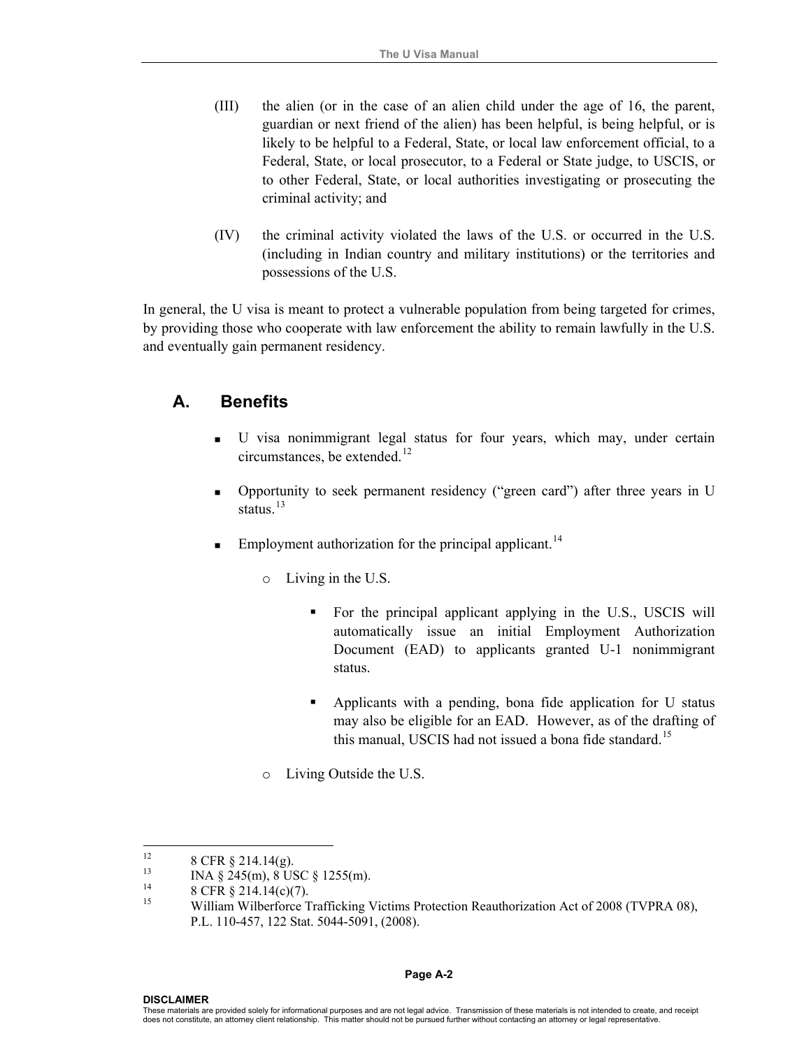- (III) the alien (or in the case of an alien child under the age of 16, the parent, guardian or next friend of the alien) has been helpful, is being helpful, or is likely to be helpful to a Federal, State, or local law enforcement official, to a Federal, State, or local prosecutor, to a Federal or State judge, to USCIS, or to other Federal, State, or local authorities investigating or prosecuting the criminal activity; and
- (IV) the criminal activity violated the laws of the U.S. or occurred in the U.S. (including in Indian country and military institutions) or the territories and possessions of the U.S.

In general, the U visa is meant to protect a vulnerable population from being targeted for crimes, by providing those who cooperate with law enforcement the ability to remain lawfully in the U.S. and eventually gain permanent residency.

#### **A. Benefits**

- U visa nonimmigrant legal status for four years, which may, under certain circumstances, be extended.<sup>[12](#page-7-0)</sup>
- Opportunity to seek permanent residency ("green card") after three years in U status. $13$
- Employment authorization for the principal applicant.<sup>[14](#page-7-2)</sup>
	- o Living in the U.S.
		- For the principal applicant applying in the U.S., USCIS will automatically issue an initial Employment Authorization Document (EAD) to applicants granted U-1 nonimmigrant status.
		- Applicants with a pending, bona fide application for U status may also be eligible for an EAD. However, as of the drafting of this manual, USCIS had not issued a bona fide standard.<sup>[15](#page-7-3)</sup>
	- o Living Outside the U.S.

<span id="page-7-0"></span><sup>12</sup>  $^{12}$  8 CFR § 214.14(g).

<span id="page-7-1"></span> $13$  INA § 245(m), 8 USC § 1255(m).

<span id="page-7-3"></span><span id="page-7-2"></span><sup>&</sup>lt;sup>14</sup> 8 CFR  $\S$  214.14(c)(7).<br><sup>15</sup> William Wilberforce T

<sup>15</sup> William Wilberforce Trafficking Victims Protection Reauthorization Act of 2008 (TVPRA 08), P.L. 110-457, 122 Stat. 5044-5091, (2008).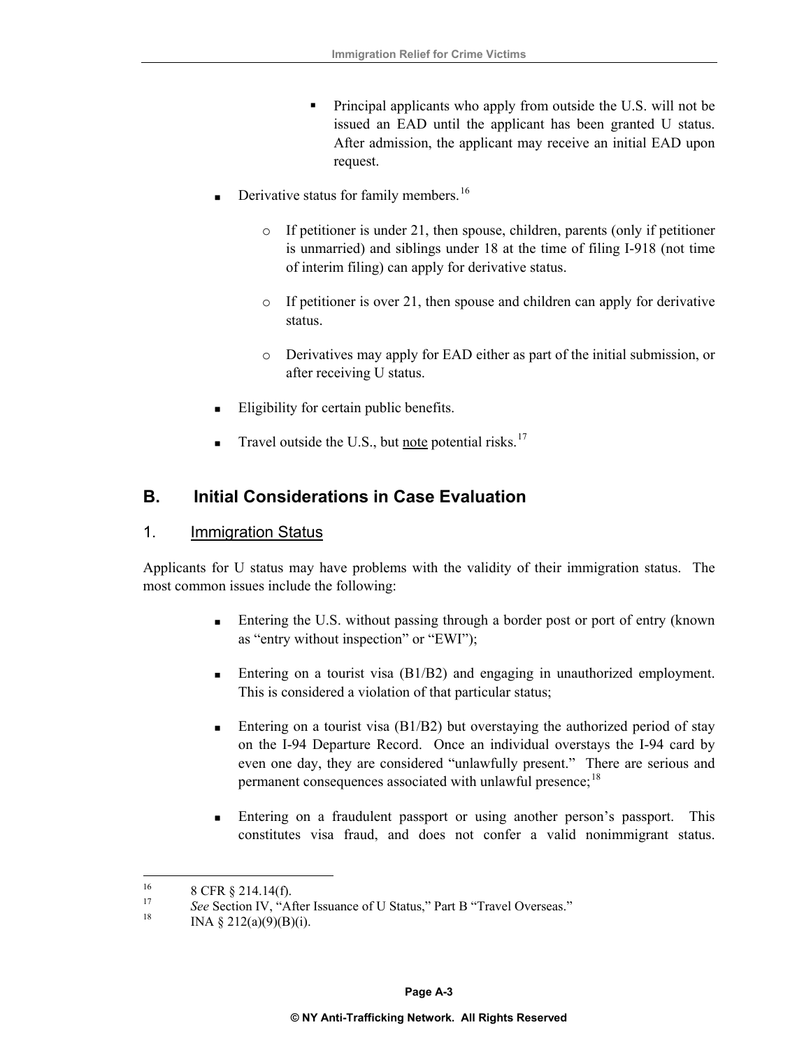- Principal applicants who apply from outside the U.S. will not be issued an EAD until the applicant has been granted U status. After admission, the applicant may receive an initial EAD upon request.
- Derivative status for family members.<sup>[16](#page-8-0)</sup>
	- o If petitioner is under 21, then spouse, children, parents (only if petitioner is unmarried) and siblings under 18 at the time of filing I-918 (not time of interim filing) can apply for derivative status.
	- o If petitioner is over 21, then spouse and children can apply for derivative status.
	- o Derivatives may apply for EAD either as part of the initial submission, or after receiving U status.
- Eligibility for certain public benefits.
- Travel outside the U.S., but note potential risks.<sup>[17](#page-8-1)</sup>

# **B. Initial Considerations in Case Evaluation**

#### 1. Immigration Status

Applicants for U status may have problems with the validity of their immigration status. The most common issues include the following:

- Entering the U.S. without passing through a border post or port of entry (known as "entry without inspection" or "EWI");
- Entering on a tourist visa  $(B1/B2)$  and engaging in unauthorized employment. This is considered a violation of that particular status;
- Entering on a tourist visa (B1/B2) but overstaying the authorized period of stay on the I-94 Departure Record. Once an individual overstays the I-94 card by even one day, they are considered "unlawfully present." There are serious and permanent consequences associated with unlawful presence;<sup>[18](#page-8-2)</sup>
- Entering on a fraudulent passport or using another person's passport. This constitutes visa fraud, and does not confer a valid nonimmigrant status.

<span id="page-8-0"></span> $16$ <sup>16</sup> 8 CFR § 214.14(f).<br><sup>17</sup> See Section IV. "A:

<span id="page-8-1"></span><sup>&</sup>lt;sup>17</sup> See Section IV, "After Issuance of U Status," Part B "Travel Overseas." INA § 212(a)(9)(B)(i).

<span id="page-8-2"></span>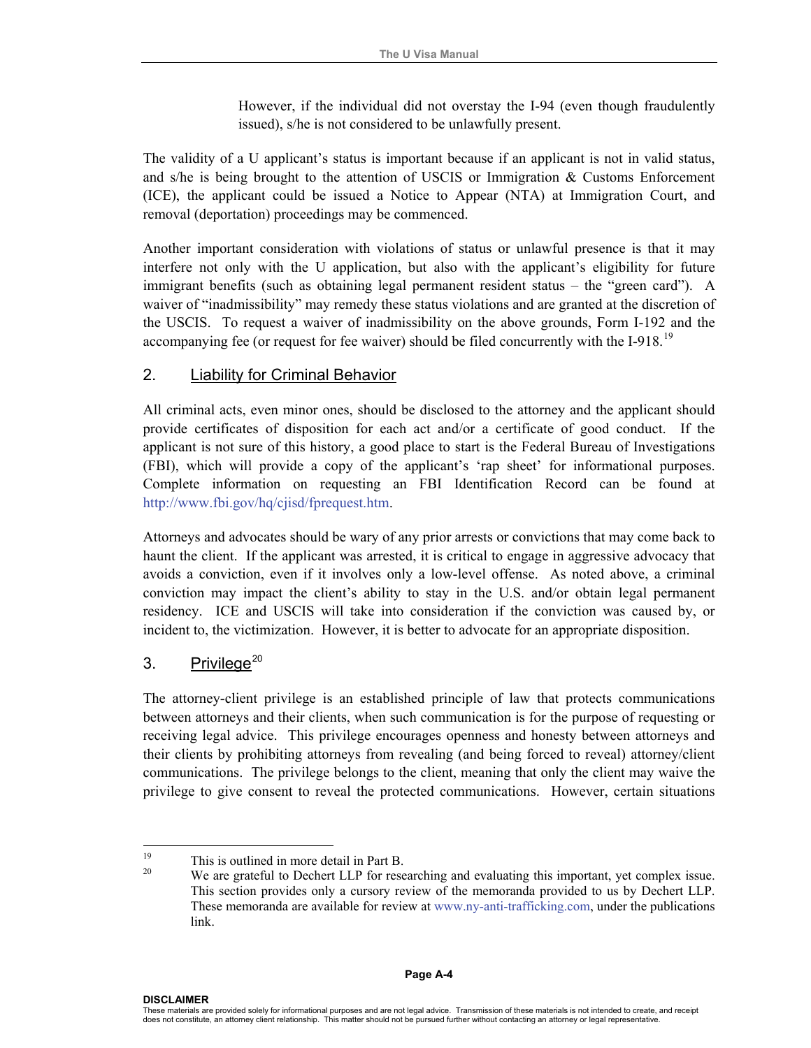However, if the individual did not overstay the I-94 (even though fraudulently issued), s/he is not considered to be unlawfully present.

The validity of a U applicant's status is important because if an applicant is not in valid status, and s/he is being brought to the attention of USCIS or Immigration & Customs Enforcement (ICE), the applicant could be issued a Notice to Appear (NTA) at Immigration Court, and removal (deportation) proceedings may be commenced.

Another important consideration with violations of status or unlawful presence is that it may interfere not only with the U application, but also with the applicant's eligibility for future immigrant benefits (such as obtaining legal permanent resident status – the "green card"). A waiver of "inadmissibility" may remedy these status violations and are granted at the discretion of the USCIS. To request a waiver of inadmissibility on the above grounds, Form I-192 and the accompanying fee (or request for fee waiver) should be filed concurrently with the I-918.<sup>[19](#page-9-0)</sup>

# 2. Liability for Criminal Behavior

All criminal acts, even minor ones, should be disclosed to the attorney and the applicant should provide certificates of disposition for each act and/or a certificate of good conduct. If the applicant is not sure of this history, a good place to start is the Federal Bureau of Investigations (FBI), which will provide a copy of the applicant's 'rap sheet' for informational purposes. Complete information on requesting an FBI Identification Record can be found at <http://www.fbi.gov/hq/cjisd/fprequest.htm>.

Attorneys and advocates should be wary of any prior arrests or convictions that may come back to haunt the client. If the applicant was arrested, it is critical to engage in aggressive advocacy that avoids a conviction, even if it involves only a low-level offense. As noted above, a criminal conviction may impact the client's ability to stay in the U.S. and/or obtain legal permanent residency. ICE and USCIS will take into consideration if the conviction was caused by, or incident to, the victimization. However, it is better to advocate for an appropriate disposition.

## 3. Privilege $20$

The attorney-client privilege is an established principle of law that protects communications between attorneys and their clients, when such communication is for the purpose of requesting or receiving legal advice. This privilege encourages openness and honesty between attorneys and their clients by prohibiting attorneys from revealing (and being forced to reveal) attorney/client communications. The privilege belongs to the client, meaning that only the client may waive the privilege to give consent to reveal the protected communications. However, certain situations

<span id="page-9-1"></span><span id="page-9-0"></span><sup>19</sup> <sup>19</sup> This is outlined in more detail in Part B.

We are grateful to Dechert LLP for researching and evaluating this important, yet complex issue. This section provides only a cursory review of the memoranda provided to us by Dechert LLP. These memoranda are available for review at [www.ny-anti-trafficking.com,](http://www.ny-anti-trafficking.com/) under the publications link.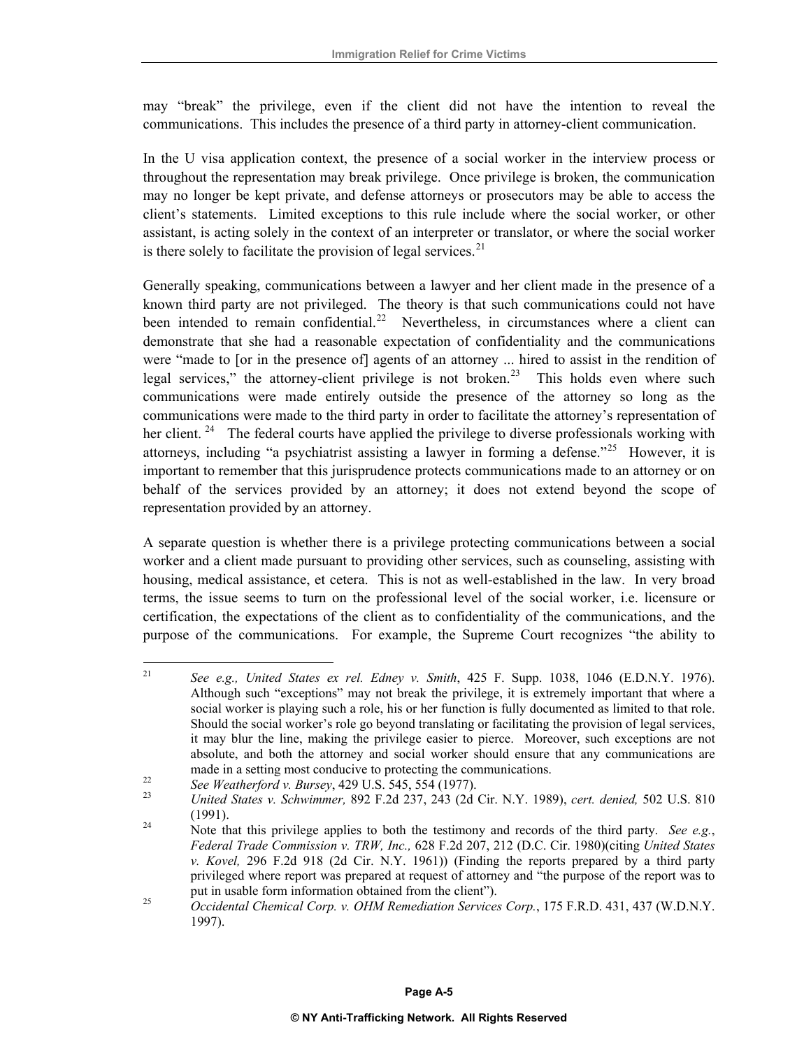may "break" the privilege, even if the client did not have the intention to reveal the communications. This includes the presence of a third party in attorney-client communication.

In the U visa application context, the presence of a social worker in the interview process or throughout the representation may break privilege. Once privilege is broken, the communication may no longer be kept private, and defense attorneys or prosecutors may be able to access the client's statements. Limited exceptions to this rule include where the social worker, or other assistant, is acting solely in the context of an interpreter or translator, or where the social worker is there solely to facilitate the provision of legal services. $21$ 

Generally speaking, communications between a lawyer and her client made in the presence of a known third party are not privileged. The theory is that such communications could not have been intended to remain confidential.<sup>[22](#page-10-1)</sup> Nevertheless, in circumstances where a client can demonstrate that she had a reasonable expectation of confidentiality and the communications were "made to [or in the presence of] agents of an attorney ... hired to assist in the rendition of legal services," the attorney-client privilege is not broken.<sup>[23](#page-10-2)</sup> This holds even where such communications were made entirely outside the presence of the attorney so long as the communications were made to the third party in order to facilitate the attorney's representation of her client.<sup>[24](#page-10-3)</sup> The federal courts have applied the privilege to diverse professionals working with attorneys, including "a psychiatrist assisting a lawyer in forming a defense."<sup>[25](#page-10-4)</sup> However, it is important to remember that this jurisprudence protects communications made to an attorney or on behalf of the services provided by an attorney; it does not extend beyond the scope of representation provided by an attorney.

A separate question is whether there is a privilege protecting communications between a social worker and a client made pursuant to providing other services, such as counseling, assisting with housing, medical assistance, et cetera. This is not as well-established in the law. In very broad terms, the issue seems to turn on the professional level of the social worker, i.e. licensure or certification, the expectations of the client as to confidentiality of the communications, and the purpose of the communications. For example, the Supreme Court recognizes "the ability to

<span id="page-10-0"></span><sup>21</sup> <sup>21</sup> *See e.g., United States ex rel. Edney v. Smith*, 425 F. Supp. 1038, 1046 (E.D.N.Y. 1976). Although such "exceptions" may not break the privilege, it is extremely important that where a social worker is playing such a role, his or her function is fully documented as limited to that role. Should the social worker's role go beyond translating or facilitating the provision of legal services, it may blur the line, making the privilege easier to pierce. Moreover, such exceptions are not absolute, and both the attorney and social worker should ensure that any communications are made in a setting most conducive to protecting the communications.<br>
See Weatherford v. Bursey, 429 U.S. 545, 554 (1977).<br>
United States v. Schwimmer, 892 F.2d 237, 243 (2d Cir. N.Y. 1989), cert. denied, 502 U.S. 810

<span id="page-10-1"></span>

<span id="page-10-3"></span><span id="page-10-2"></span><sup>(1991). 24</sup> Note that this privilege applies to both the testimony and records of the third party. *See e.g.*,

*Federal Trade Commission v. TRW, Inc.,* 628 F.2d 207, 212 (D.C. Cir. 1980)(citing *United States v. Kovel,* 296 F.2d 918 (2d Cir. N.Y. 1961)) (Finding the reports prepared by a third party privileged where report was prepared at request of attorney and "the purpose of the report was to

<span id="page-10-4"></span>put in usable form information obtained from the client").<br>*Occidental Chemical Corp. v. OHM Remediation Services Corp.*, 175 F.R.D. 431, 437 (W.D.N.Y. 1997).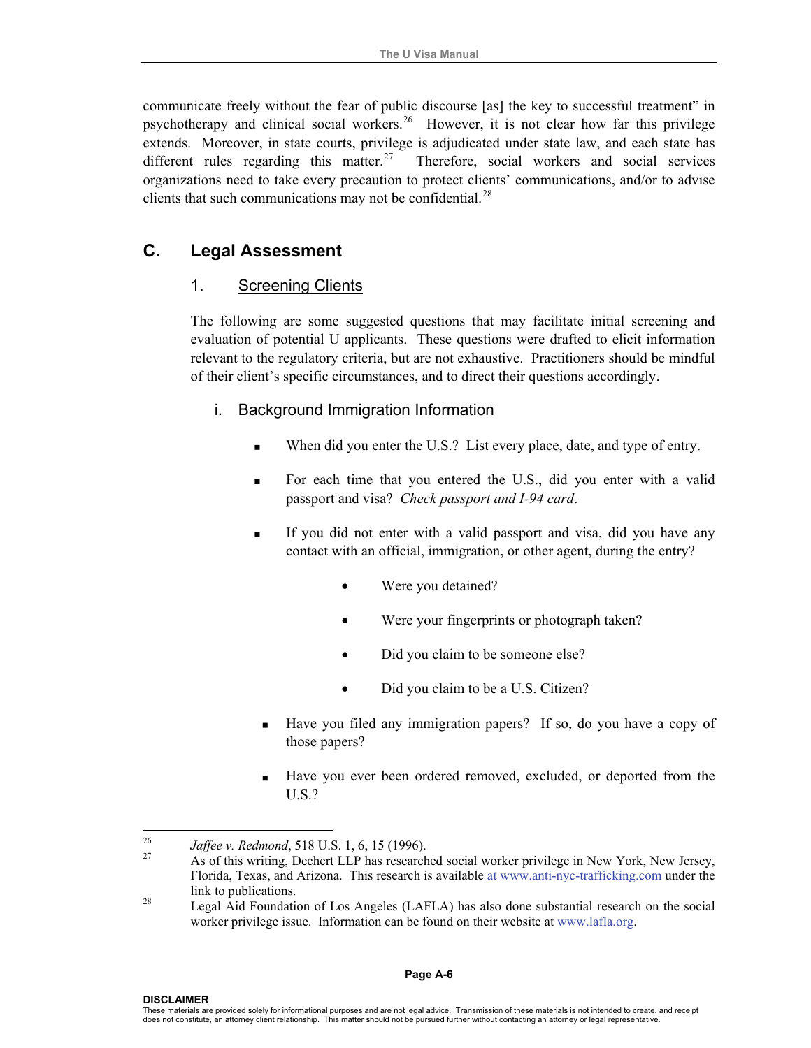communicate freely without the fear of public discourse [as] the key to successful treatment" in psychotherapy and clinical social workers.<sup>[26](#page-11-0)</sup> However, it is not clear how far this privilege extends. Moreover, in state courts, privilege is adjudicated under state law, and each state has different rules regarding this matter.<sup>[27](#page-11-1)</sup> Therefore, social workers and social services organizations need to take every precaution to protect clients' communications, and/or to advise clients that such communications may not be confidential. $^{28}$ 

# **C. Legal Assessment**

#### 1. Screening Clients

The following are some suggested questions that may facilitate initial screening and evaluation of potential U applicants. These questions were drafted to elicit information relevant to the regulatory criteria, but are not exhaustive. Practitioners should be mindful of their client's specific circumstances, and to direct their questions accordingly.

#### i.Background Immigration Information

- When did you enter the U.S.? List every place, date, and type of entry.
- For each time that you entered the U.S., did you enter with a valid passport and visa? *Check passport and I-94 card*.
- If you did not enter with a valid passport and visa, did you have any contact with an official, immigration, or other agent, during the entry?
	- Were you detained?
	- Were your fingerprints or photograph taken?
	- Did you claim to be someone else?
	- Did you claim to be a U.S. Citizen?
- Have you filed any immigration papers? If so, do you have a copy of those papers?
- Have you ever been ordered removed, excluded, or deported from the U.S.?

 $\overline{a}$ 

<span id="page-11-1"></span><span id="page-11-0"></span>

<sup>&</sup>lt;sup>26</sup> *Jaffee v. Redmond*, 518 U.S. 1, 6, 15 (1996).<br><sup>27</sup> As of this writing, Dechert LLP has researched social worker privilege in New York, New Jersey, Florida, Texas, and Arizona. This research is available at [www.anti-nyc-trafficking.com](http://www.anti-nyc-trafficking.com/) under the link to publications.<br><sup>28</sup> Legal Aid Foundation of Los Angeles (LAFLA) has also done substantial research on the social

worker privilege issue. Information can be found on their website at www.lafla.org.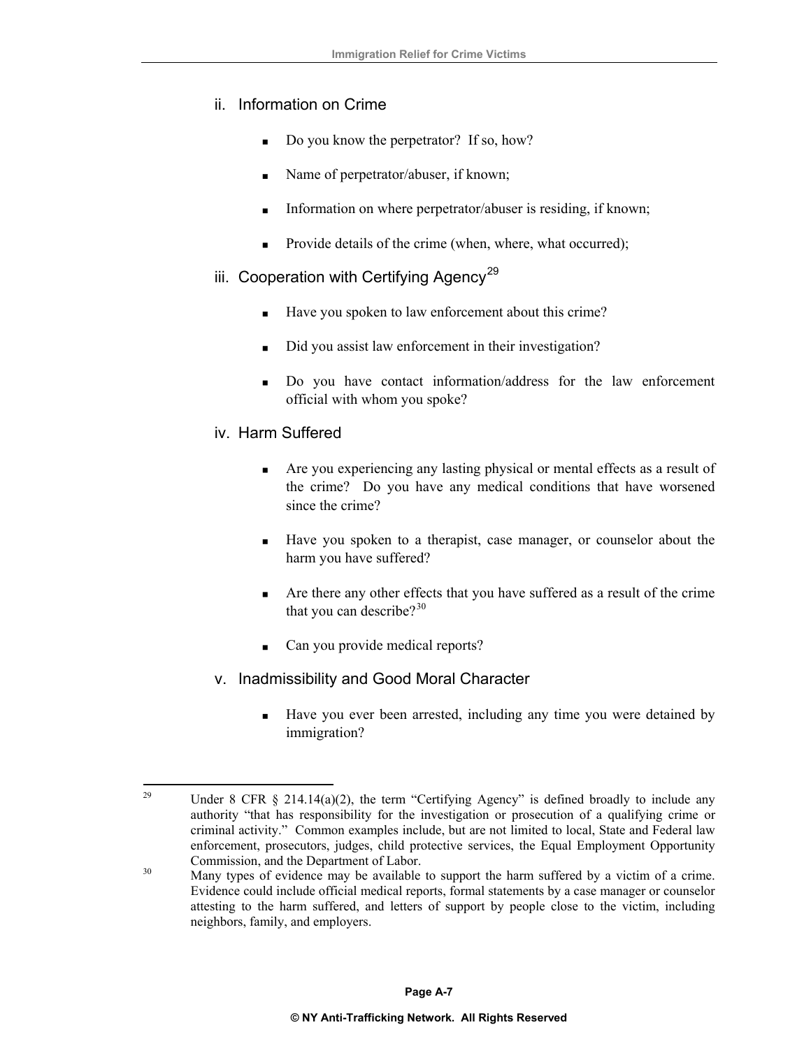#### ii. Information on Crime

- Do you know the perpetrator? If so, how?
- Name of perpetrator/abuser, if known;
- Information on where perpetrator/abuser is residing, if known;
- Provide details of the crime (when, where, what occurred);

#### iii. Cooperation with Certifying Agency<sup>[29](#page-12-0)</sup>

- Have you spoken to law enforcement about this crime?
- Did you assist law enforcement in their investigation?
- Do you have contact information/address for the law enforcement official with whom you spoke?

#### iv. Harm Suffered

- Are you experiencing any lasting physical or mental effects as a result of the crime? Do you have any medical conditions that have worsened since the crime?
- Have you spoken to a therapist, case manager, or counselor about the harm you have suffered?
- Are there any other effects that you have suffered as a result of the crime that you can describe? $3^{30}$  $3^{30}$  $3^{30}$
- Can you provide medical reports?
- v. Inadmissibility and Good Moral Character
	- Have you ever been arrested, including any time you were detained by immigration?

<span id="page-12-0"></span><sup>29</sup> Under 8 CFR  $\S$  214.14(a)(2), the term "Certifying Agency" is defined broadly to include any authority "that has responsibility for the investigation or prosecution of a qualifying crime or criminal activity." Common examples include, but are not limited to local, State and Federal law enforcement, prosecutors, judges, child protective services, the Equal Employment Opportunity

<span id="page-12-1"></span><sup>&</sup>lt;sup>30</sup> Commission, and the Department of Labor.<br><sup>30</sup> Many types of evidence may be available to support the harm suffered by a victim of a crime. Evidence could include official medical reports, formal statements by a case manager or counselor attesting to the harm suffered, and letters of support by people close to the victim, including neighbors, family, and employers.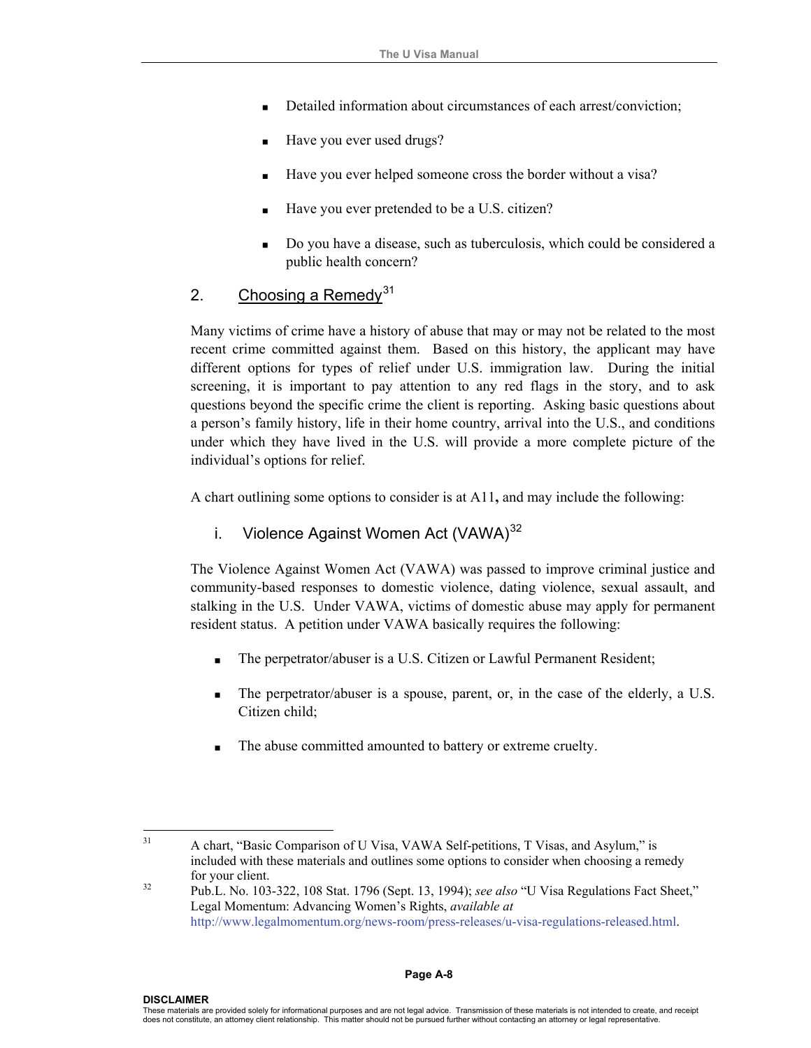- Detailed information about circumstances of each arrest/conviction;
- Have you ever used drugs?
- Have you ever helped someone cross the border without a visa?
- Have you ever pretended to be a U.S. citizen?
- Do you have a disease, such as tuberculosis, which could be considered a public health concern?

#### 2. Choosing a Remedy<sup>[31](#page-13-0)</sup>

Many victims of crime have a history of abuse that may or may not be related to the most recent crime committed against them. Based on this history, the applicant may have different options for types of relief under U.S. immigration law. During the initial screening, it is important to pay attention to any red flags in the story, and to ask questions beyond the specific crime the client is reporting. Asking basic questions about a person's family history, life in their home country, arrival into the U.S., and conditions under which they have lived in the U.S. will provide a more complete picture of the individual's options for relief.

A chart outlining some options to consider is at A11**,** and may include the following:

#### i. Violence Against Women Act (VAWA)<sup>[32](#page-13-1)</sup>

The Violence Against Women Act (VAWA) was passed to improve criminal justice and community-based responses to domestic violence, dating violence, sexual assault, and stalking in the U.S. Under VAWA, victims of domestic abuse may apply for permanent resident status. A petition under VAWA basically requires the following:

- The perpetrator/abuser is a U.S. Citizen or Lawful Permanent Resident;
- The perpetrator/abuser is a spouse, parent, or, in the case of the elderly, a U.S. Citizen child;
- The abuse committed amounted to battery or extreme cruelty.

<span id="page-13-0"></span> $31$ 31 A chart, "Basic Comparison of U Visa, VAWA Self-petitions, T Visas, and Asylum," is included with these materials and outlines some options to consider when choosing a remedy

<span id="page-13-1"></span>for your client. 32 Pub.L. No. 103-322, 108 Stat. 1796 (Sept. 13, 1994); *see also* "U Visa Regulations Fact Sheet," Legal Momentum: Advancing Women's Rights, *available at* http://www.legalmomentum.org/news-room/press-releases/u-visa-regulations-released.html.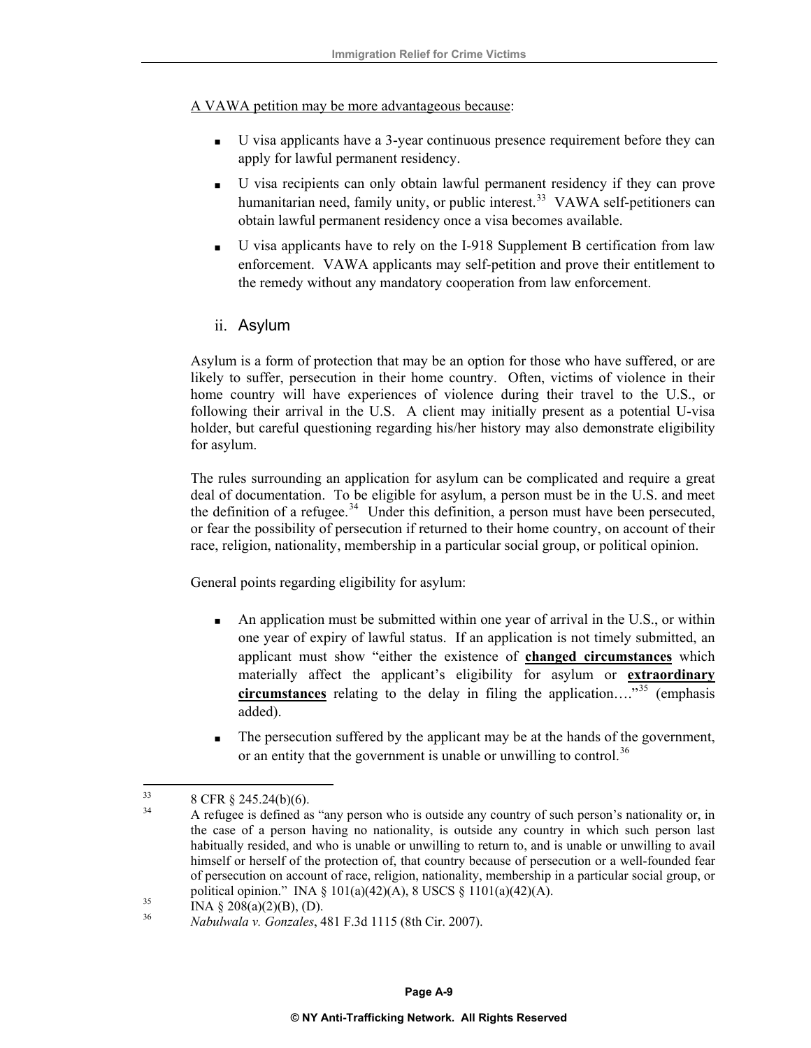A VAWA petition may be more advantageous because:

- U visa applicants have a 3-year continuous presence requirement before they can apply for lawful permanent residency.
- U visa recipients can only obtain lawful permanent residency if they can prove humanitarian need, family unity, or public interest.<sup>[33](#page-14-0)</sup> VAWA self-petitioners can obtain lawful permanent residency once a visa becomes available.
- U visa applicants have to rely on the I-918 Supplement B certification from law enforcement. VAWA applicants may self-petition and prove their entitlement to the remedy without any mandatory cooperation from law enforcement.
- ii. Asylum

Asylum is a form of protection that may be an option for those who have suffered, or are likely to suffer, persecution in their home country. Often, victims of violence in their home country will have experiences of violence during their travel to the U.S., or following their arrival in the U.S. A client may initially present as a potential U-visa holder, but careful questioning regarding his/her history may also demonstrate eligibility for asylum.

The rules surrounding an application for asylum can be complicated and require a great deal of documentation. To be eligible for asylum, a person must be in the U.S. and meet the definition of a refugee.<sup>[34](#page-14-1)</sup> Under this definition, a person must have been persecuted, or fear the possibility of persecution if returned to their home country, on account of their race, religion, nationality, membership in a particular social group, or political opinion.

General points regarding eligibility for asylum:

- $\blacksquare$  An application must be submitted within one year of arrival in the U.S., or within one year of expiry of lawful status. If an application is not timely submitted, an applicant must show "either the existence of **changed circumstances** which materially affect the applicant's eligibility for asylum or **extraordinary circumstances** relating to the delay in filing the application…."[35](#page-14-2) (emphasis added).
- The persecution suffered by the applicant may be at the hands of the government, or an entity that the government is unable or unwilling to control.<sup>[36](#page-14-3)</sup>

<span id="page-14-0"></span><sup>33</sup>  $\frac{33}{34}$  8 CFR § 245.24(b)(6).

<span id="page-14-1"></span><sup>34</sup> A refugee is defined as "any person who is outside any country of such person's nationality or, in the case of a person having no nationality, is outside any country in which such person last habitually resided, and who is unable or unwilling to return to, and is unable or unwilling to avail himself or herself of the protection of, that country because of persecution or a well-founded fear of persecution on account of race, religion, nationality, membership in a particular social group, or political opinion." INA § 101(a)(42)(A), 8 USCS § 1101(a)(42)(A).<br>
INA § 208(a)(2)(B), (D).<br>
<sup>36</sup> INA § 208(a)(2)(B), (D).

<span id="page-14-3"></span><span id="page-14-2"></span><sup>36</sup> *Nabulwala v. Gonzales*, 481 F.3d 1115 (8th Cir. 2007).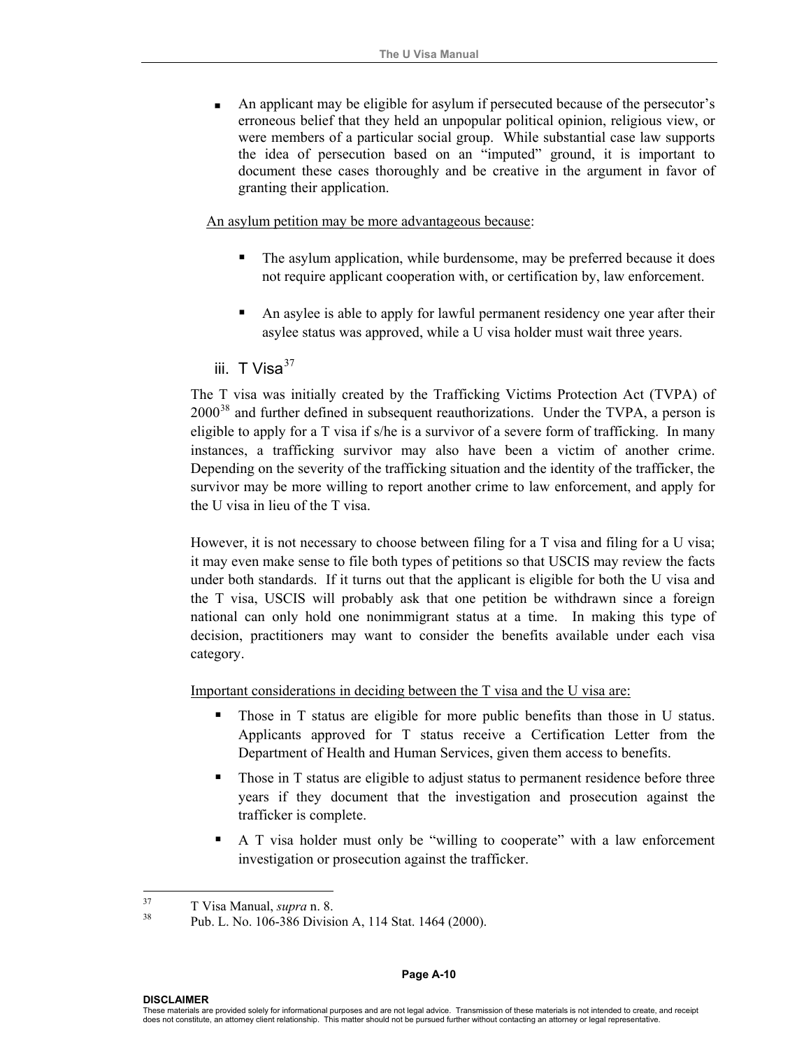An applicant may be eligible for asylum if persecuted because of the persecutor's erroneous belief that they held an unpopular political opinion, religious view, or were members of a particular social group. While substantial case law supports the idea of persecution based on an "imputed" ground, it is important to document these cases thoroughly and be creative in the argument in favor of granting their application.

An asylum petition may be more advantageous because:

- The asylum application, while burdensome, may be preferred because it does not require applicant cooperation with, or certification by, law enforcement.
- An asylee is able to apply for lawful permanent residency one year after their asylee status was approved, while a U visa holder must wait three years.

iii.  $T$  Visa $^{37}$  $^{37}$  $^{37}$ 

The T visa was initially created by the Trafficking Victims Protection Act (TVPA) of  $2000<sup>38</sup>$  $2000<sup>38</sup>$  $2000<sup>38</sup>$  and further defined in subsequent reauthorizations. Under the TVPA, a person is eligible to apply for a T visa if s/he is a survivor of a severe form of trafficking. In many instances, a trafficking survivor may also have been a victim of another crime. Depending on the severity of the trafficking situation and the identity of the trafficker, the survivor may be more willing to report another crime to law enforcement, and apply for the U visa in lieu of the T visa.

However, it is not necessary to choose between filing for a T visa and filing for a U visa; it may even make sense to file both types of petitions so that USCIS may review the facts under both standards. If it turns out that the applicant is eligible for both the U visa and the T visa, USCIS will probably ask that one petition be withdrawn since a foreign national can only hold one nonimmigrant status at a time. In making this type of decision, practitioners may want to consider the benefits available under each visa category.

Important considerations in deciding between the T visa and the U visa are:

- Those in T status are eligible for more public benefits than those in U status. Applicants approved for T status receive a Certification Letter from the Department of Health and Human Services, given them access to benefits.
- Those in T status are eligible to adjust status to permanent residence before three years if they document that the investigation and prosecution against the trafficker is complete.
- A T visa holder must only be "willing to cooperate" with a law enforcement investigation or prosecution against the trafficker.

<span id="page-15-1"></span><span id="page-15-0"></span><sup>37</sup> 

 $\frac{37}{38}$  T Visa Manual, *supra* n. 8.<br><sup>38</sup> Pub. L. No. 106-386 Division A, 114 Stat. 1464 (2000).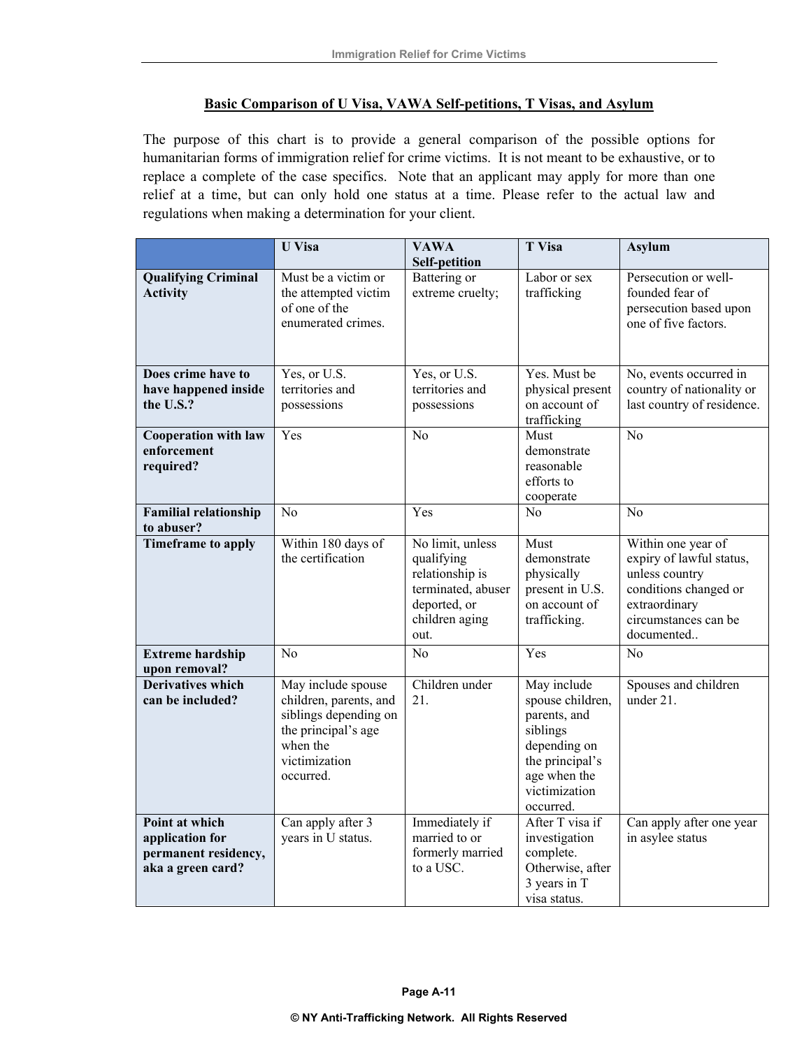#### **Basic Comparison of U Visa, VAWA Self-petitions, T Visas, and Asylum**

The purpose of this chart is to provide a general comparison of the possible options for humanitarian forms of immigration relief for crime victims. It is not meant to be exhaustive, or to replace a complete of the case specifics. Note that an applicant may apply for more than one relief at a time, but can only hold one status at a time. Please refer to the actual law and regulations when making a determination for your client.

|                                                                                | <b>U</b> Visa                                                                                                                          | <b>VAWA</b><br><b>Self-petition</b>                                                                               | <b>T</b> Visa                                                                                                                                | <b>Asylum</b>                                                                                                                                    |
|--------------------------------------------------------------------------------|----------------------------------------------------------------------------------------------------------------------------------------|-------------------------------------------------------------------------------------------------------------------|----------------------------------------------------------------------------------------------------------------------------------------------|--------------------------------------------------------------------------------------------------------------------------------------------------|
| <b>Qualifying Criminal</b><br><b>Activity</b>                                  | Must be a victim or<br>the attempted victim<br>of one of the<br>enumerated crimes.                                                     | Battering or<br>extreme cruelty;                                                                                  | Labor or sex<br>trafficking                                                                                                                  | Persecution or well-<br>founded fear of<br>persecution based upon<br>one of five factors.                                                        |
| Does crime have to<br>have happened inside<br>the U.S.?                        | Yes, or U.S.<br>territories and<br>possessions                                                                                         | Yes, or U.S.<br>territories and<br>possessions                                                                    | Yes. Must be<br>physical present<br>on account of<br>trafficking                                                                             | No, events occurred in<br>country of nationality or<br>last country of residence.                                                                |
| <b>Cooperation with law</b><br>enforcement<br>required?                        | Yes                                                                                                                                    | N <sub>0</sub>                                                                                                    | Must<br>demonstrate<br>reasonable<br>efforts to<br>cooperate                                                                                 | N <sub>0</sub>                                                                                                                                   |
| <b>Familial relationship</b><br>to abuser?                                     | No                                                                                                                                     | Yes                                                                                                               | No                                                                                                                                           | No                                                                                                                                               |
| <b>Timeframe</b> to apply                                                      | Within 180 days of<br>the certification                                                                                                | No limit, unless<br>qualifying<br>relationship is<br>terminated, abuser<br>deported, or<br>children aging<br>out. | Must<br>demonstrate<br>physically<br>present in U.S.<br>on account of<br>trafficking.                                                        | Within one year of<br>expiry of lawful status,<br>unless country<br>conditions changed or<br>extraordinary<br>circumstances can be<br>documented |
| <b>Extreme hardship</b><br>upon removal?                                       | N <sub>o</sub>                                                                                                                         | N <sub>o</sub>                                                                                                    | Yes                                                                                                                                          | N <sub>o</sub>                                                                                                                                   |
| <b>Derivatives which</b><br>can be included?                                   | May include spouse<br>children, parents, and<br>siblings depending on<br>the principal's age<br>when the<br>victimization<br>occurred. | Children under<br>21.                                                                                             | May include<br>spouse children,<br>parents, and<br>siblings<br>depending on<br>the principal's<br>age when the<br>victimization<br>occurred. | Spouses and children<br>under $21$ .                                                                                                             |
| Point at which<br>application for<br>permanent residency,<br>aka a green card? | Can apply after 3<br>years in U status.                                                                                                | Immediately if<br>married to or<br>formerly married<br>to a USC.                                                  | After T visa if<br>investigation<br>complete.<br>Otherwise, after<br>3 years in T<br>visa status.                                            | Can apply after one year<br>in asylee status                                                                                                     |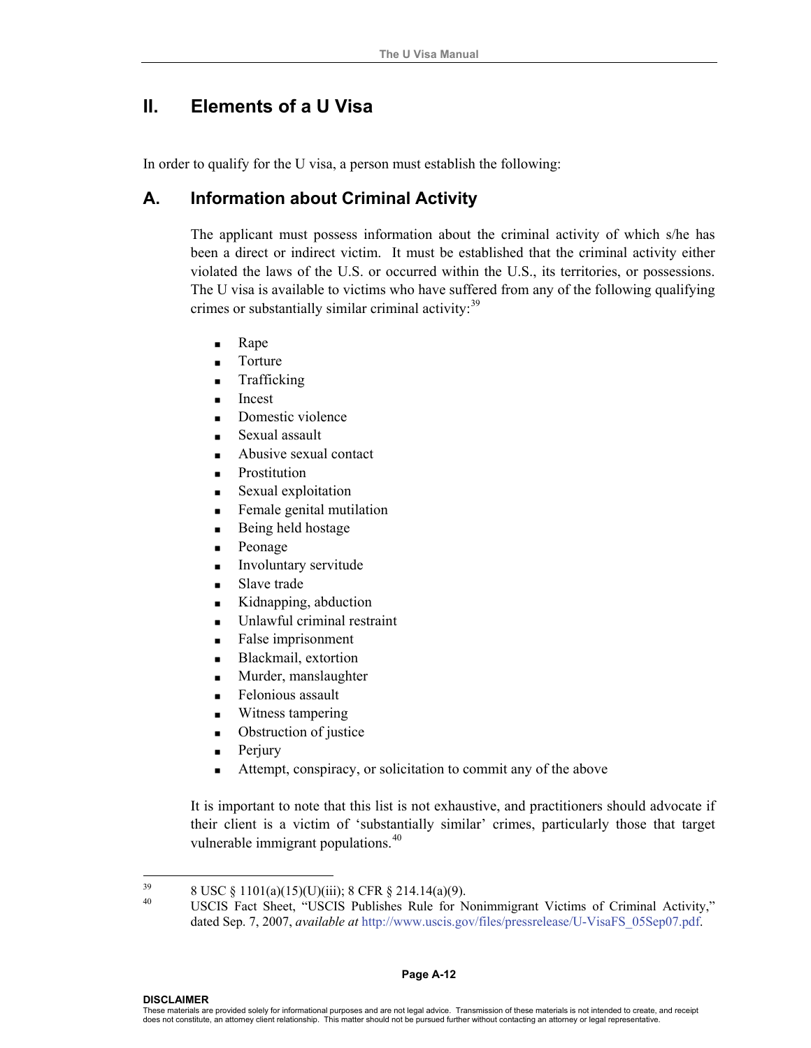# **II. Elements of a U Visa**

In order to qualify for the U visa, a person must establish the following:

## **A. Information about Criminal Activity**

The applicant must possess information about the criminal activity of which s/he has been a direct or indirect victim. It must be established that the criminal activity either violated the laws of the U.S. or occurred within the U.S., its territories, or possessions. The U visa is available to victims who have suffered from any of the following qualifying crimes or substantially similar criminal activity:<sup>[39](#page-17-0)</sup>

- **Rape**
- **Torture**
- Trafficking
- **Incest**
- Domestic violence
- Sexual assault
- Abusive sexual contact
- **Prostitution**
- Sexual exploitation
- **Female genital mutilation**
- Being held hostage
- **Peonage**
- Involuntary servitude
- Slave trade
- Kidnapping, abduction
- Unlawful criminal restraint
- **False imprisonment**
- **Blackmail**, extortion
- **Murder**, manslaughter
- Felonious assault
- **Witness tampering**
- Obstruction of justice
- $\blacksquare$  Perjury
- Attempt, conspiracy, or solicitation to commit any of the above

It is important to note that this list is not exhaustive, and practitioners should advocate if their client is a victim of 'substantially similar' crimes, particularly those that target vulnerable immigrant populations.<sup>[40](#page-17-1)</sup>

<span id="page-17-1"></span><span id="page-17-0"></span><sup>39</sup> <sup>39</sup> 8 USC § 1101(a)(15)(U)(iii); 8 CFR § 214.14(a)(9).

<sup>40</sup> USCIS Fact Sheet, "USCIS Publishes Rule for Nonimmigrant Victims of Criminal Activity," dated Sep. 7, 2007, *available at* http://www.uscis.gov/files/pressrelease/U-VisaFS\_05Sep07.pdf.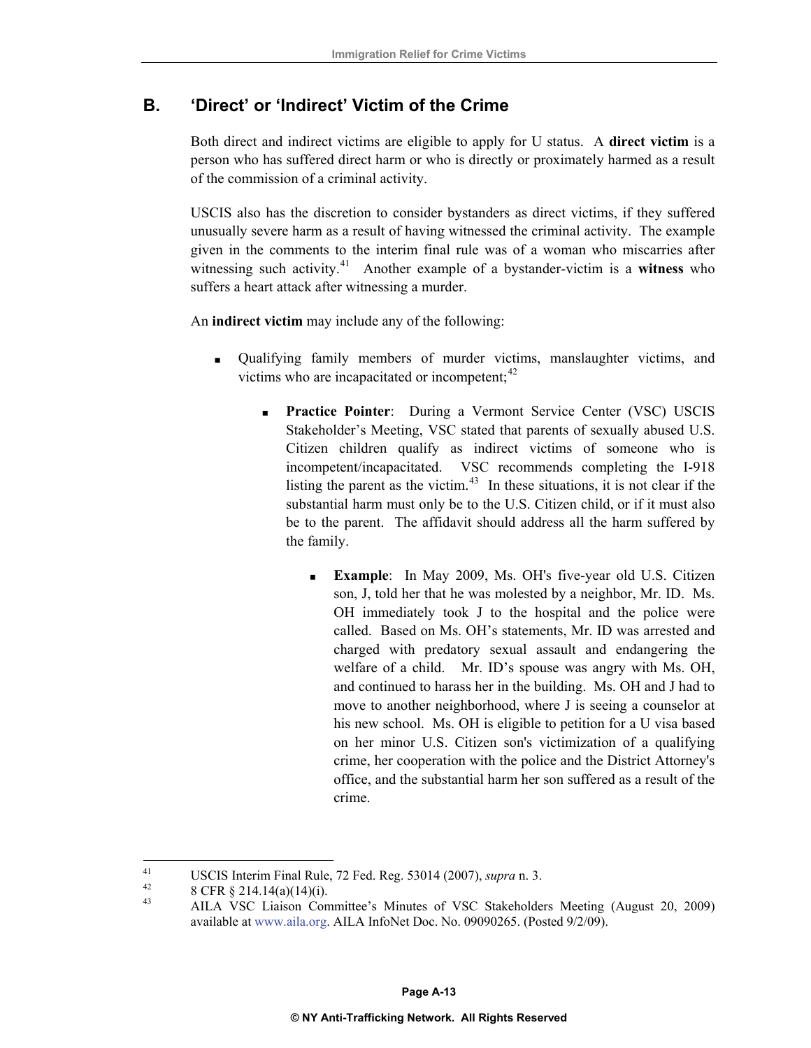# **B. 'Direct' or 'Indirect' Victim of the Crime**

Both direct and indirect victims are eligible to apply for U status. A **direct victim** is a person who has suffered direct harm or who is directly or proximately harmed as a result of the commission of a criminal activity.

USCIS also has the discretion to consider bystanders as direct victims, if they suffered unusually severe harm as a result of having witnessed the criminal activity. The example given in the comments to the interim final rule was of a woman who miscarries after witnessing such activity.[41](#page-18-0) Another example of a bystander-victim is a **witness** who suffers a heart attack after witnessing a murder.

An **indirect victim** may include any of the following:

- Qualifying family members of murder victims, manslaughter victims, and victims who are incapacitated or incompetent; $^{42}$  $^{42}$  $^{42}$ 
	- **Practice Pointer**: During a Vermont Service Center (VSC) USCIS Stakeholder's Meeting, VSC stated that parents of sexually abused U.S. Citizen children qualify as indirect victims of someone who is incompetent/incapacitated. VSC recommends completing the I-918 listing the parent as the victim.<sup>[43](#page-18-2)</sup> In these situations, it is not clear if the substantial harm must only be to the U.S. Citizen child, or if it must also be to the parent. The affidavit should address all the harm suffered by the family.
		- **Example**: In May 2009, Ms. OH's five-year old U.S. Citizen son, J, told her that he was molested by a neighbor, Mr. ID. Ms. OH immediately took J to the hospital and the police were called. Based on Ms. OH's statements, Mr. ID was arrested and charged with predatory sexual assault and endangering the welfare of a child. Mr. ID's spouse was angry with Ms. OH, and continued to harass her in the building. Ms. OH and J had to move to another neighborhood, where J is seeing a counselor at his new school.Ms. OH is eligible to petition for a U visa based on her minor U.S. Citizen son's victimization of a qualifying crime, her cooperation with the police and the District Attorney's office, and the substantial harm her son suffered as a result of the crime.

<span id="page-18-0"></span> $41$ USCIS Interim Final Rule, 72 Fed. Reg. 53014 (2007), *supra* n. 3.<br>  $^{42}$  8 CFR § 214.14(a)(14)(i).<br>  $^{43}$  AH A VSC Ligiton Committee's Minutes of VSC Stelsholds

<span id="page-18-1"></span>

<span id="page-18-2"></span><sup>43</sup> AILA VSC Liaison Committee's Minutes of VSC Stakeholders Meeting (August 20, 2009) available at [www.aila.org.](http://www.aila.org/) AILA InfoNet Doc. No. 09090265. (Posted 9/2/09).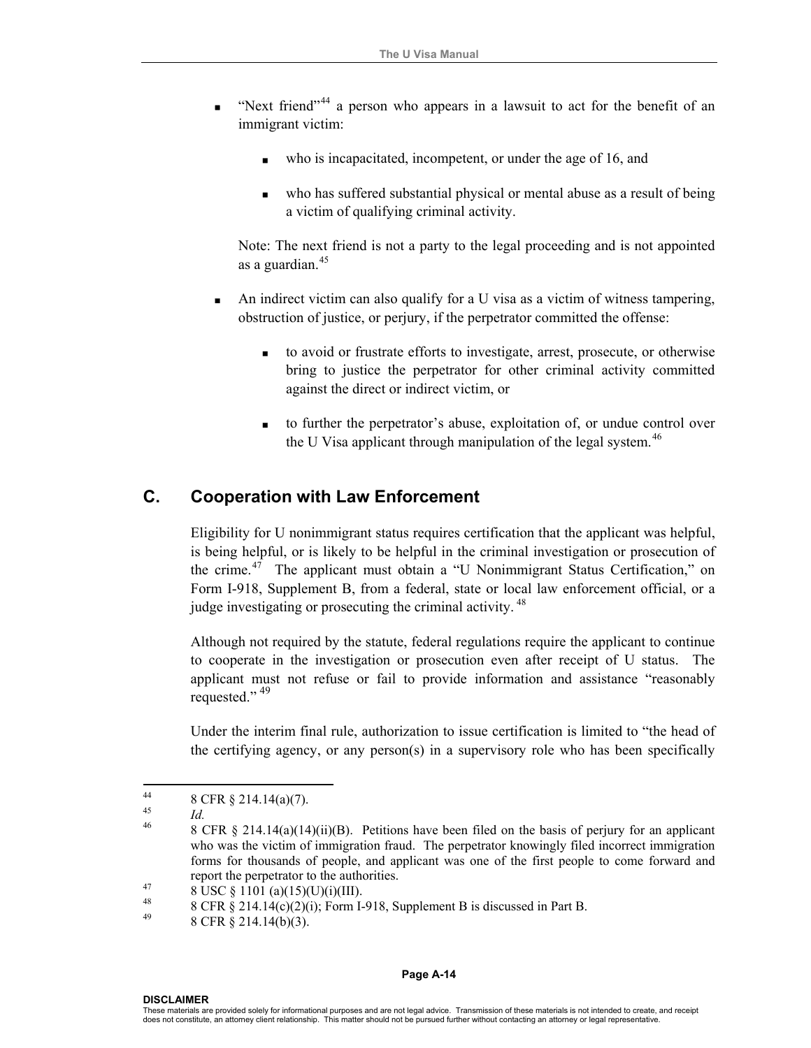- "Next friend"<sup>[44](#page-19-0)</sup> a person who appears in a lawsuit to act for the benefit of an immigrant victim:
	- who is incapacitated, incompetent, or under the age of 16, and
	- who has suffered substantial physical or mental abuse as a result of being a victim of qualifying criminal activity.

Note: The next friend is not a party to the legal proceeding and is not appointed as a guardian.[45](#page-19-1)

- An indirect victim can also qualify for a U visa as a victim of witness tampering, obstruction of justice, or perjury, if the perpetrator committed the offense:
	- to avoid or frustrate efforts to investigate, arrest, prosecute, or otherwise bring to justice the perpetrator for other criminal activity committed against the direct or indirect victim, or
	- to further the perpetrator's abuse, exploitation of, or undue control over the U Visa applicant through manipulation of the legal system.<sup>[46](#page-19-2)</sup>

## **C. Cooperation with Law Enforcement**

Eligibility for U nonimmigrant status requires certification that the applicant was helpful, is being helpful, or is likely to be helpful in the criminal investigation or prosecution of the crime.[47](#page-19-3) The applicant must obtain a "U Nonimmigrant Status Certification," on Form I-918, Supplement B, from a federal, state or local law enforcement official, or a judge investigating or prosecuting the criminal activity.<sup>[48](#page-19-4)</sup>

Although not required by the statute, federal regulations require the applicant to continue to cooperate in the investigation or prosecution even after receipt of U status. The applicant must not refuse or fail to provide information and assistance "reasonably requested."<sup>[49](#page-19-5)</sup>

Under the interim final rule, authorization to issue certification is limited to "the head of the certifying agency, or any person(s) in a supervisory role who has been specifically

#### **Page A-14**

<span id="page-19-0"></span> $44$  $^{44}_{45}$  8 CFR § 214.14(a)(7).

<span id="page-19-2"></span><span id="page-19-1"></span><sup>&</sup>lt;sup>45</sup><br><sup>46</sup> 8 CFR § 214.14(a)(14)(ii)(B). Petitions have been filed on the basis of perjury for an applicant who was the victim of immigration fraud. The perpetrator knowingly filed incorrect immigration forms for thousands of people, and applicant was one of the first people to come forward and report the perpetrator to the authorities.<br>  $8 \text{ USC} \& 1101 \text{ (a)}(15)(U)(i)(III).$ 

<span id="page-19-4"></span><span id="page-19-3"></span><sup>&</sup>lt;sup>48</sup> 8 CFR § 214.14(c)(2)(i); Form I-918, Supplement B is discussed in Part B.

<span id="page-19-5"></span><sup>8</sup> CFR § 214.14(b)(3).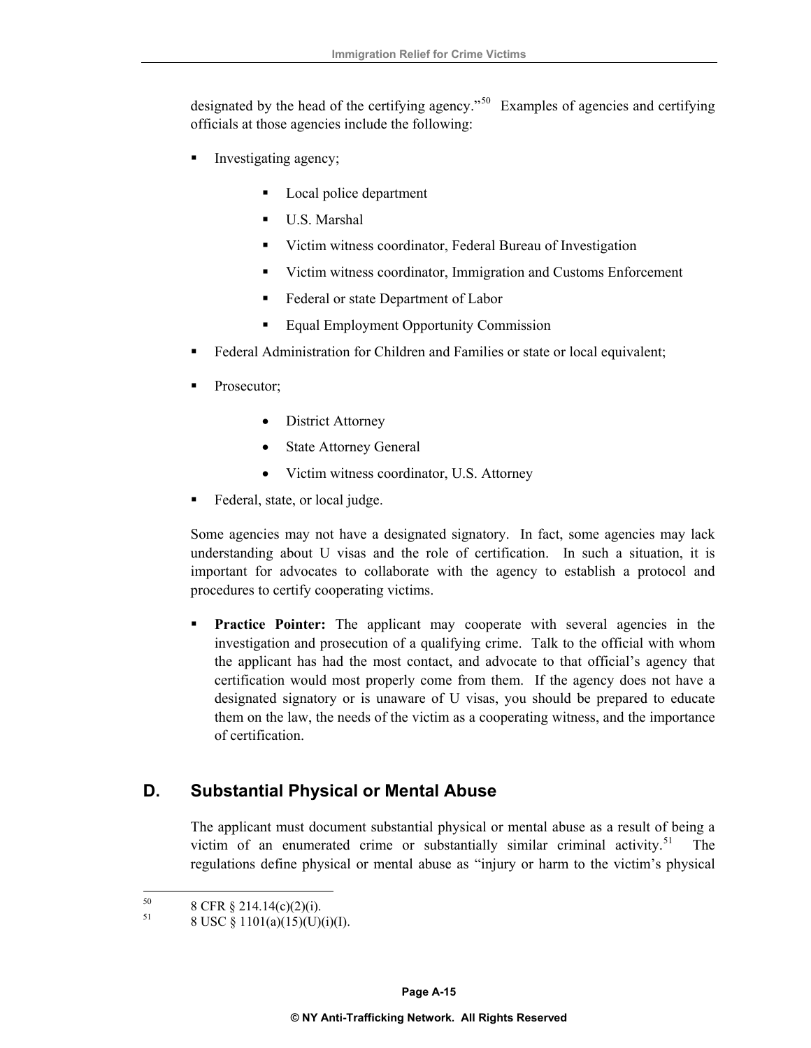designated by the head of the certifying agency."<sup>[50](#page-20-0)</sup> Examples of agencies and certifying officials at those agencies include the following:

- Investigating agency;
	- Local police department
	- U.S. Marshal
	- Victim witness coordinator, Federal Bureau of Investigation
	- Victim witness coordinator, Immigration and Customs Enforcement
	- Federal or state Department of Labor
	- **Equal Employment Opportunity Commission**
- Federal Administration for Children and Families or state or local equivalent;
- Prosecutor;
	- District Attorney
	- State Attorney General
	- Victim witness coordinator, U.S. Attorney
- Federal, state, or local judge.

Some agencies may not have a designated signatory. In fact, some agencies may lack understanding about U visas and the role of certification. In such a situation, it is important for advocates to collaborate with the agency to establish a protocol and procedures to certify cooperating victims.

**Practice Pointer:** The applicant may cooperate with several agencies in the investigation and prosecution of a qualifying crime. Talk to the official with whom the applicant has had the most contact, and advocate to that official's agency that certification would most properly come from them. If the agency does not have a designated signatory or is unaware of U visas, you should be prepared to educate them on the law, the needs of the victim as a cooperating witness, and the importance of certification.

# **D. Substantial Physical or Mental Abuse**

The applicant must document substantial physical or mental abuse as a result of being a victim of an enumerated crime or substantially similar criminal activity.<sup>[51](#page-20-1)</sup> The regulations define physical or mental abuse as "injury or harm to the victim's physical

<span id="page-20-1"></span><span id="page-20-0"></span><sup>50</sup>  $^{50}$  8 CFR § 214.14(c)(2)(i).

<sup>51 8</sup> USC § 1101(a)(15)(U)(i)(I).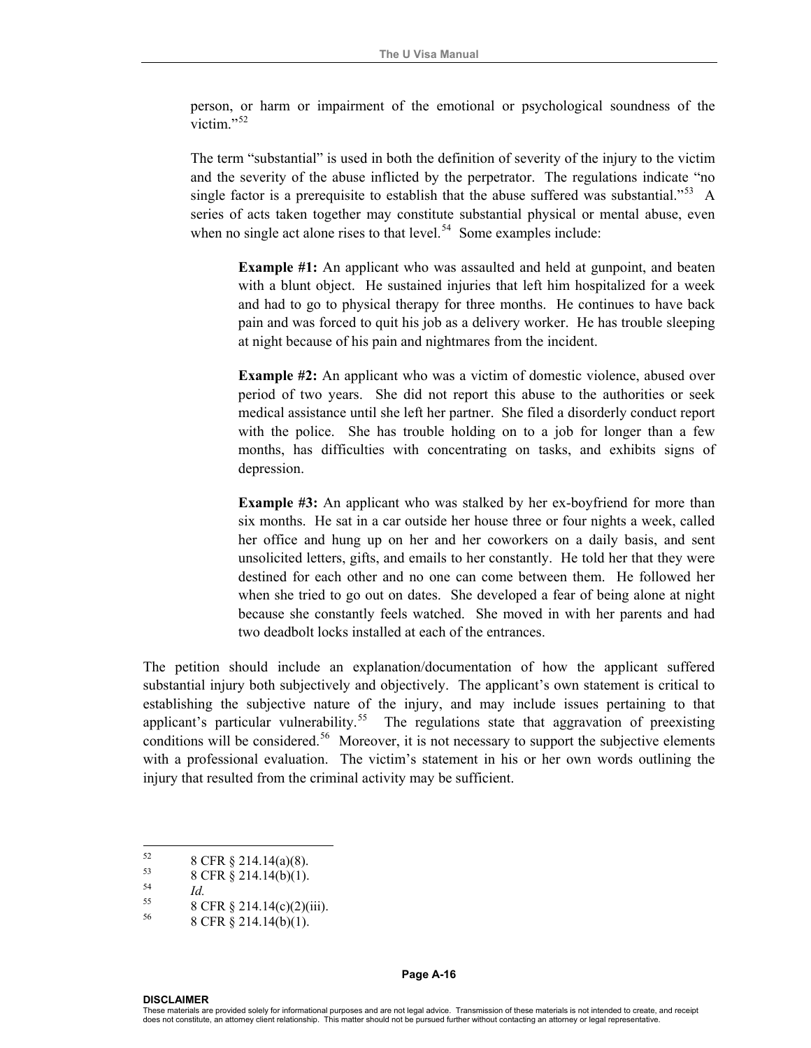person, or harm or impairment of the emotional or psychological soundness of the victim $^{52}$  $^{52}$  $^{52}$ 

The term "substantial" is used in both the definition of severity of the injury to the victim and the severity of the abuse inflicted by the perpetrator. The regulations indicate "no single factor is a prerequisite to establish that the abuse suffered was substantial."<sup>[53](#page-21-1)</sup> A series of acts taken together may constitute substantial physical or mental abuse, even when no single act alone rises to that level.<sup>[54](#page-21-2)</sup> Some examples include:

**Example #1:** An applicant who was assaulted and held at gunpoint, and beaten with a blunt object. He sustained injuries that left him hospitalized for a week and had to go to physical therapy for three months. He continues to have back pain and was forced to quit his job as a delivery worker. He has trouble sleeping at night because of his pain and nightmares from the incident.

**Example #2:** An applicant who was a victim of domestic violence, abused over period of two years. She did not report this abuse to the authorities or seek medical assistance until she left her partner. She filed a disorderly conduct report with the police. She has trouble holding on to a job for longer than a few months, has difficulties with concentrating on tasks, and exhibits signs of depression.

**Example #3:** An applicant who was stalked by her ex-boyfriend for more than six months. He sat in a car outside her house three or four nights a week, called her office and hung up on her and her coworkers on a daily basis, and sent unsolicited letters, gifts, and emails to her constantly. He told her that they were destined for each other and no one can come between them. He followed her when she tried to go out on dates. She developed a fear of being alone at night because she constantly feels watched. She moved in with her parents and had two deadbolt locks installed at each of the entrances.

The petition should include an explanation/documentation of how the applicant suffered substantial injury both subjectively and objectively. The applicant's own statement is critical to establishing the subjective nature of the injury, and may include issues pertaining to that applicant's particular vulnerability.<sup>[55](#page-21-3)</sup> The regulations state that aggravation of preexisting conditions will be considered.<sup>[56](#page-21-4)</sup> Moreover, it is not necessary to support the subjective elements with a professional evaluation. The victim's statement in his or her own words outlining the injury that resulted from the criminal activity may be sufficient.

<span id="page-21-3"></span><span id="page-21-2"></span>

**DISCLAIMER** 

<span id="page-21-0"></span><sup>52</sup>  $^{52}$  8 CFR § 214.14(a)(8).

<span id="page-21-1"></span> $\frac{53}{54}$  8 CFR § 214.14(b)(1).

<sup>&</sup>lt;sup>54</sup> *Id.* 8 CFR § 214.14(c)(2)(iii).

<span id="page-21-4"></span><sup>56 8</sup> CFR § 214.14(b)(1).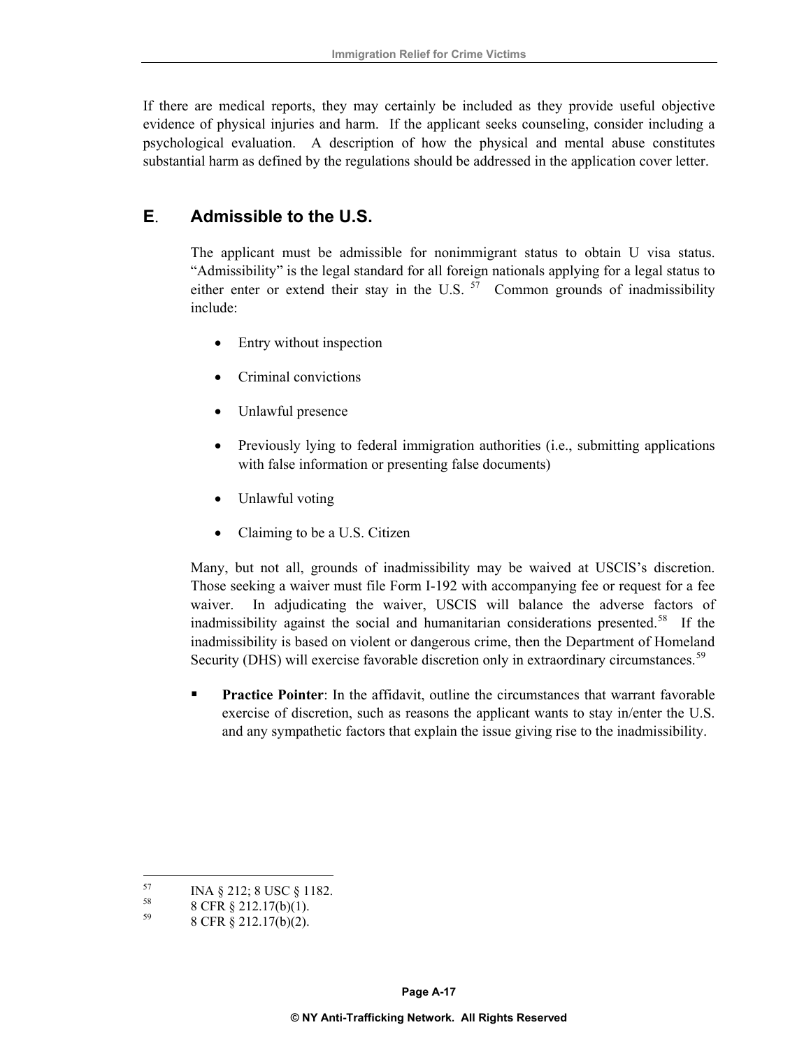If there are medical reports, they may certainly be included as they provide useful objective evidence of physical injuries and harm. If the applicant seeks counseling, consider including a psychological evaluation. A description of how the physical and mental abuse constitutes substantial harm as defined by the regulations should be addressed in the application cover letter.

# **E**. **Admissible to the U.S.**

The applicant must be admissible for nonimmigrant status to obtain U visa status. "Admissibility" is the legal standard for all foreign nationals applying for a legal status to either enter or extend their stay in the U.S.  $57$  Common grounds of inadmissibility include:

- Entry without inspection
- Criminal convictions
- Unlawful presence
- Previously lying to federal immigration authorities (i.e., submitting applications with false information or presenting false documents)
- Unlawful voting
- Claiming to be a U.S. Citizen

Many, but not all, grounds of inadmissibility may be waived at USCIS's discretion. Those seeking a waiver must file Form I-192 with accompanying fee or request for a fee waiver. In adjudicating the waiver, USCIS will balance the adverse factors of inadmissibility against the social and humanitarian considerations presented.<sup>[58](#page-22-1)</sup> If the inadmissibility is based on violent or dangerous crime, then the Department of Homeland Security (DHS) will exercise favorable discretion only in extraordinary circumstances.<sup>[59](#page-22-2)</sup>

**Practice Pointer**: In the affidavit, outline the circumstances that warrant favorable exercise of discretion, such as reasons the applicant wants to stay in/enter the U.S. and any sympathetic factors that explain the issue giving rise to the inadmissibility.

<span id="page-22-0"></span><sup>57</sup>  $\frac{57}{58}$  INA § 212; 8 USC § 1182.

<span id="page-22-2"></span><span id="page-22-1"></span> $^{58}$  8 CFR § 212.17(b)(1).

<sup>59 8</sup> CFR § 212.17(b)(2).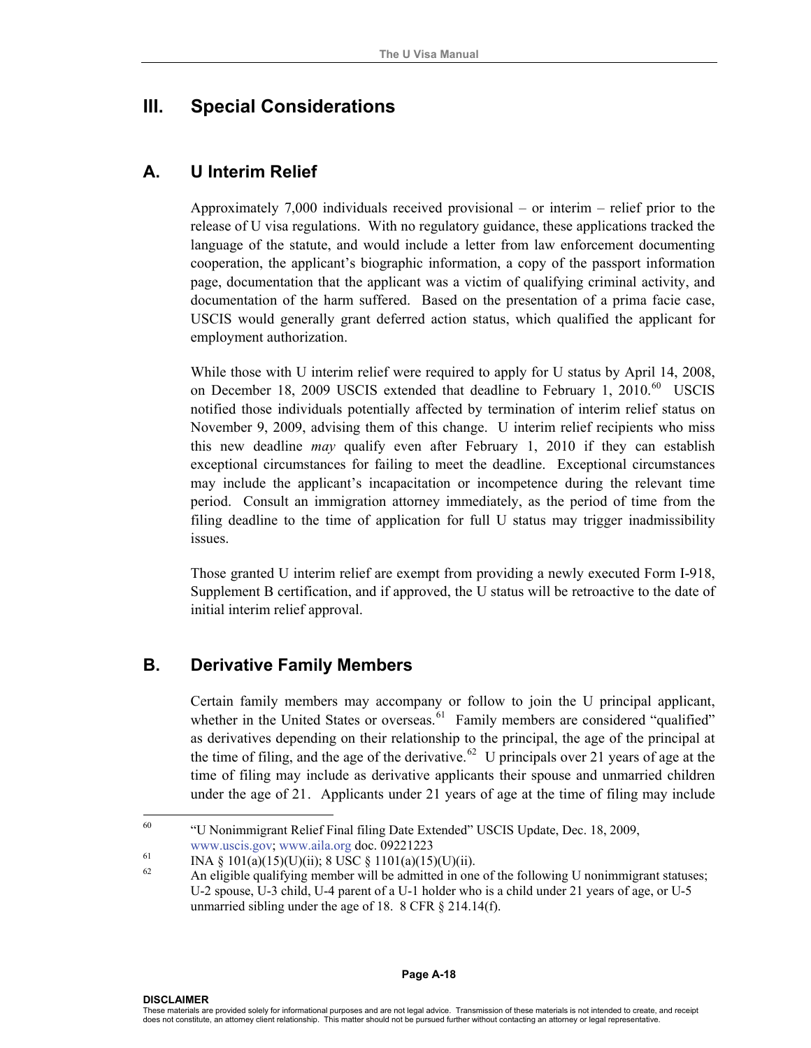# **III. Special Considerations**

#### **A. U Interim Relief**

Approximately 7,000 individuals received provisional – or interim – relief prior to the release of U visa regulations. With no regulatory guidance, these applications tracked the language of the statute, and would include a letter from law enforcement documenting cooperation, the applicant's biographic information, a copy of the passport information page, documentation that the applicant was a victim of qualifying criminal activity, and documentation of the harm suffered. Based on the presentation of a prima facie case, USCIS would generally grant deferred action status, which qualified the applicant for employment authorization.

While those with U interim relief were required to apply for U status by April 14, 2008, on December 18, 2009 USCIS extended that deadline to February 1, 2010.<sup>[60](#page-23-0)</sup> USCIS notified those individuals potentially affected by termination of interim relief status on November 9, 2009, advising them of this change. U interim relief recipients who miss this new deadline *may* qualify even after February 1, 2010 if they can establish exceptional circumstances for failing to meet the deadline. Exceptional circumstances may include the applicant's incapacitation or incompetence during the relevant time period. Consult an immigration attorney immediately, as the period of time from the filing deadline to the time of application for full U status may trigger inadmissibility issues.

Those granted U interim relief are exempt from providing a newly executed Form I-918, Supplement B certification, and if approved, the U status will be retroactive to the date of initial interim relief approval.

#### **B. Derivative Family Members**

Certain family members may accompany or follow to join the U principal applicant, whether in the United States or overseas.<sup>[61](#page-23-1)</sup> Family members are considered "qualified" as derivatives depending on their relationship to the principal, the age of the principal at the time of filing, and the age of the derivative.<sup>[62](#page-23-2)</sup> U principals over 21 years of age at the time of filing may include as derivative applicants their spouse and unmarried children under the age of 21[.](#page-23-3) Applicants under 21 years of age at the time of filing may include

<sup>60</sup> 60 "U Nonimmigrant Relief Final filing Date Extended" USCIS Update, Dec. 18, 2009,

<span id="page-23-1"></span><span id="page-23-0"></span>[www.uscis.gov;](http://www.uscis.gov/) [www.aila.org](http://www.aila.org/) doc. 09221223<br>
INA § 101(a)(15)(U)(ii); 8 USC § 1101(a)(15)(U)(ii).<br>
<sup>62</sup>

<span id="page-23-3"></span><span id="page-23-2"></span>An eligible qualifying member will be admitted in one of the following U nonimmigrant statuses; U-2 spouse, U-3 child, U-4 parent of a U-1 holder who is a child under 21 years of age, or U-5 unmarried sibling under the age of 18. 8 CFR § 214.14(f).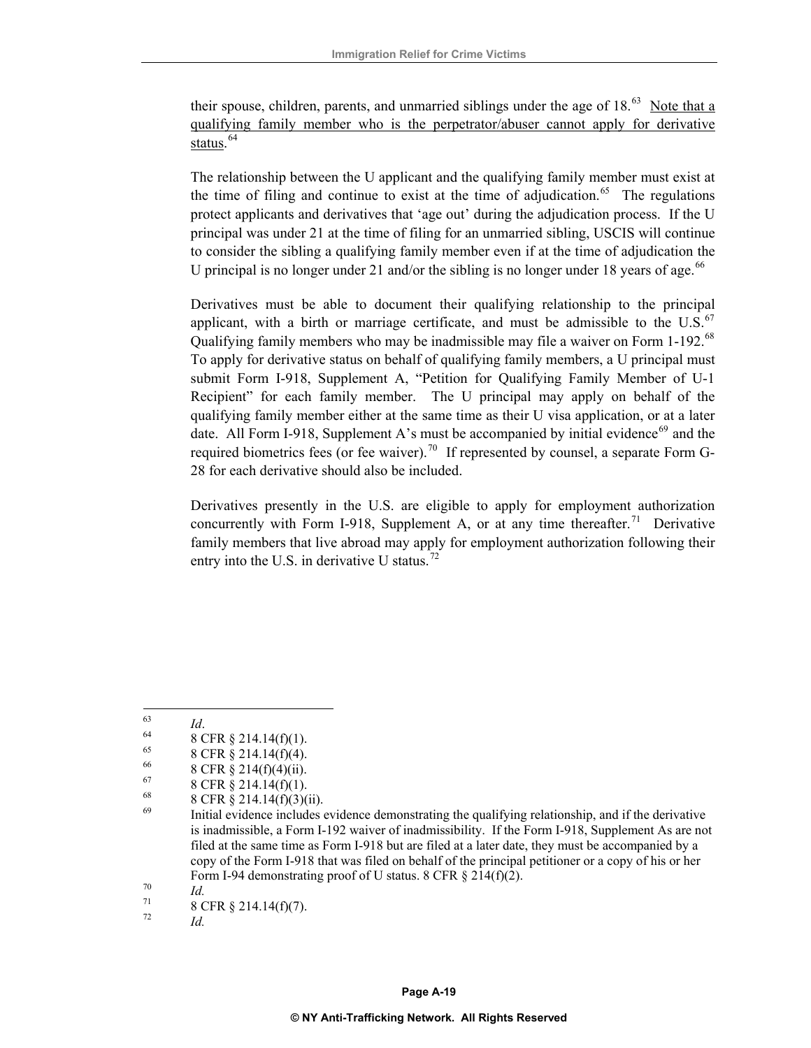their spouse, children, parents, and unmarried siblings under the age of  $18<sup>63</sup>$  $18<sup>63</sup>$  $18<sup>63</sup>$  Note that a qualifying family member who is the perpetrator/abuser cannot apply for derivative status. [64](#page-24-1)

The relationship between the U applicant and the qualifying family member must exist at the time of filing and continue to exist at the time of adjudication.<sup>[65](#page-24-2)</sup> The regulations protect applicants and derivatives that 'age out' during the adjudication process. If the U principal was under 21 at the time of filing for an unmarried sibling, USCIS will continue to consider the sibling a qualifying family member even if at the time of adjudication the U principal is no longer under 21 and/or the sibling is no longer under 18 years of age.<sup>[66](#page-24-3)</sup>

Derivatives must be able to document their qualifying relationship to the principal applicant, with a birth or marriage certificate, and must be admissible to the  $U.S.<sup>67</sup>$ Qualifying family members who may be inadmissible may file a waiver on Form 1-192.[68](#page-24-5)  To apply for derivative status on behalf of qualifying family members, a U principal must submit Form I-918, Supplement A, "Petition for Qualifying Family Member of U-1 Recipient" for each family member. The U principal may apply on behalf of the qualifying family member either at the same time as their U visa application, or at a later date. All Form I-918, Supplement A's must be accompanied by initial evidence<sup>[69](#page-24-6)</sup> and the required biometrics fees (or fee waiver).<sup>[70](#page-24-7)</sup> If represented by counsel, a separate Form G-28 for each derivative should also be included.

Derivatives presently in the U.S. are eligible to apply for employment authorization concurrently with Form I-918, Supplement A, or at any time thereafter.<sup>[71](#page-24-8)</sup> Derivative family members that live abroad may apply for employment authorization following their entry into the U.S. in derivative U status.<sup>[72](#page-24-9)</sup>

<span id="page-24-0"></span>63

*Id.* 

<span id="page-24-1"></span> $\begin{array}{c} 63 \\ 64 \end{array}$  *B* CFR § 214.14(f)(1).

<span id="page-24-2"></span><sup>&</sup>lt;sup>65</sup> 8 CFR § 214.14(f)(4).

<span id="page-24-3"></span> $^{66}$  8 CFR § 214(f)(4)(ii).

<span id="page-24-5"></span><span id="page-24-4"></span> $^{67}_{68}$  8 CFR § 214.14(f)(1).

<sup>&</sup>lt;sup>68</sup> 8 CFR § 214.14(f)(3)(ii).<br><sup>69</sup> Initial axidence includes

<span id="page-24-6"></span>Initial evidence includes evidence demonstrating the qualifying relationship, and if the derivative is inadmissible, a Form I-192 waiver of inadmissibility. If the Form I-918, Supplement As are not filed at the same time as Form I-918 but are filed at a later date, they must be accompanied by a copy of the Form I-918 that was filed on behalf of the principal petitioner or a copy of his or her Form I-94 demonstrating proof of U status. 8 CFR § 214(f)(2).<br> *Id.* 8 CFR § 214.14(f)(7).

<span id="page-24-9"></span><span id="page-24-8"></span><span id="page-24-7"></span>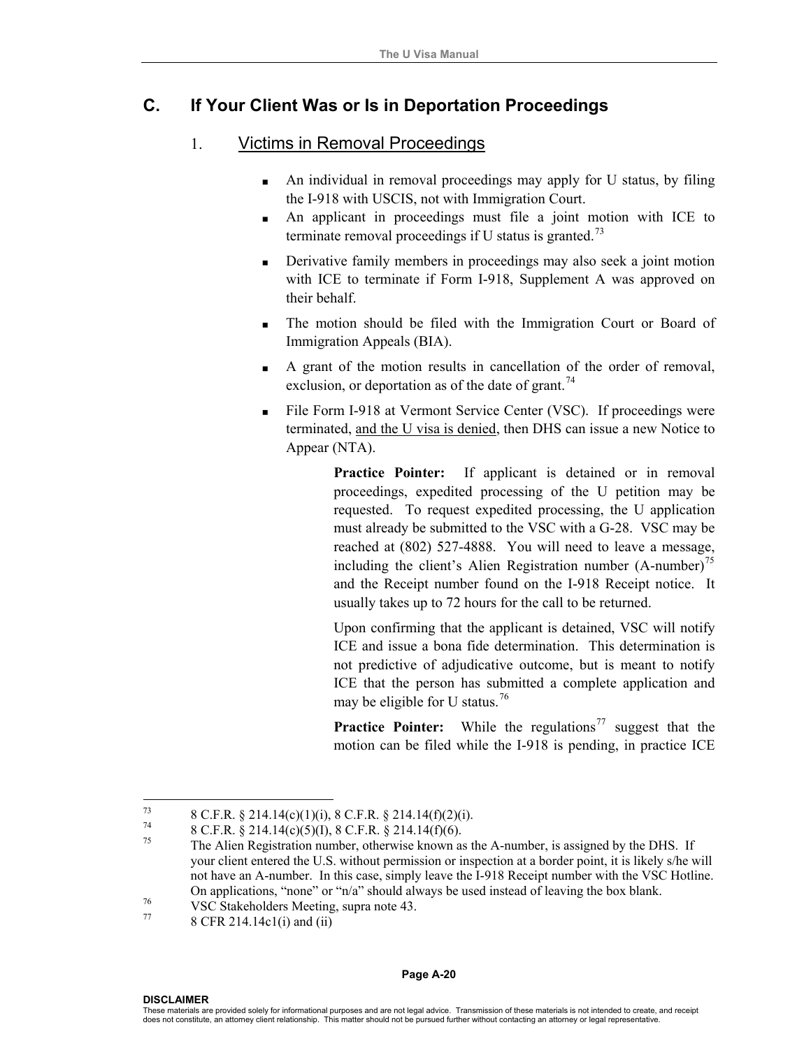# **C. If Your Client Was or Is in Deportation Proceedings**

#### 1.Victims in Removal Proceedings

- An individual in removal proceedings may apply for U status, by filing the I-918 with USCIS, not with Immigration Court.
- An applicant in proceedings must file a joint motion with ICE to terminate removal proceedings if U status is granted.<sup>[73](#page-25-0)</sup>
- Derivative family members in proceedings may also seek a joint motion with ICE to terminate if Form I-918, Supplement A was approved on their behalf.
- The motion should be filed with the Immigration Court or Board of Immigration Appeals (BIA).
- A grant of the motion results in cancellation of the order of removal, exclusion, or deportation as of the date of grant.<sup>[74](#page-25-1)</sup>
- File Form I-918 at Vermont Service Center (VSC). If proceedings were terminated, and the U visa is denied, then DHS can issue a new Notice to Appear (NTA).

Practice Pointer: If applicant is detained or in removal proceedings, expedited processing of the U petition may be requested. To request expedited processing, the U application must already be submitted to the VSC with a G-28. VSC may be reached at (802) 527-4888. You will need to leave a message, including the client's Alien Registration number  $(A\text{-number})^{75}$  $(A\text{-number})^{75}$  $(A\text{-number})^{75}$ and the Receipt number found on the I-918 Receipt notice. It usually takes up to 72 hours for the call to be returned.

Upon confirming that the applicant is detained, VSC will notify ICE and issue a bona fide determination. This determination is not predictive of adjudicative outcome, but is meant to notify ICE that the person has submitted a complete application and may be eligible for U status.<sup>[76](#page-25-3)</sup>

**Practice Pointer:** While the regulations<sup>[77](#page-25-4)</sup> suggest that the motion can be filed while the I-918 is pending, in practice ICE

#### **Page A-20**

<span id="page-25-1"></span><span id="page-25-0"></span><sup>73</sup> <sup>73</sup> 8 C.F.R. § 214.14(c)(1)(i), 8 C.F.R. § 214.14(f)(2)(i).<br><sup>74</sup> 8 C.F.R. § 214.14(c)(5)(b, 8 C.F.R. § 214.14(c)(c).

<span id="page-25-2"></span><sup>&</sup>lt;sup>74</sup> 8 C.F.R. § 214.14(c)(5)(I), 8 C.F.R. § 214.14(f)(6).<br><sup>75</sup> The Alien Registration number, otherwise known as the A-number, is assigned by the DHS. If your client entered the U.S. without permission or inspection at a border point, it is likely s/he will not have an A-number. In this case, simply leave the I-918 Receipt number with the VSC Hotline. On applications, "none" or "n/a" should always be used instead of leaving the box blank.<br>
VSC Stakeholders Meeting, supra note 43.<br>
8 CFR 214.14c1(i) and (ii)

<span id="page-25-4"></span><span id="page-25-3"></span>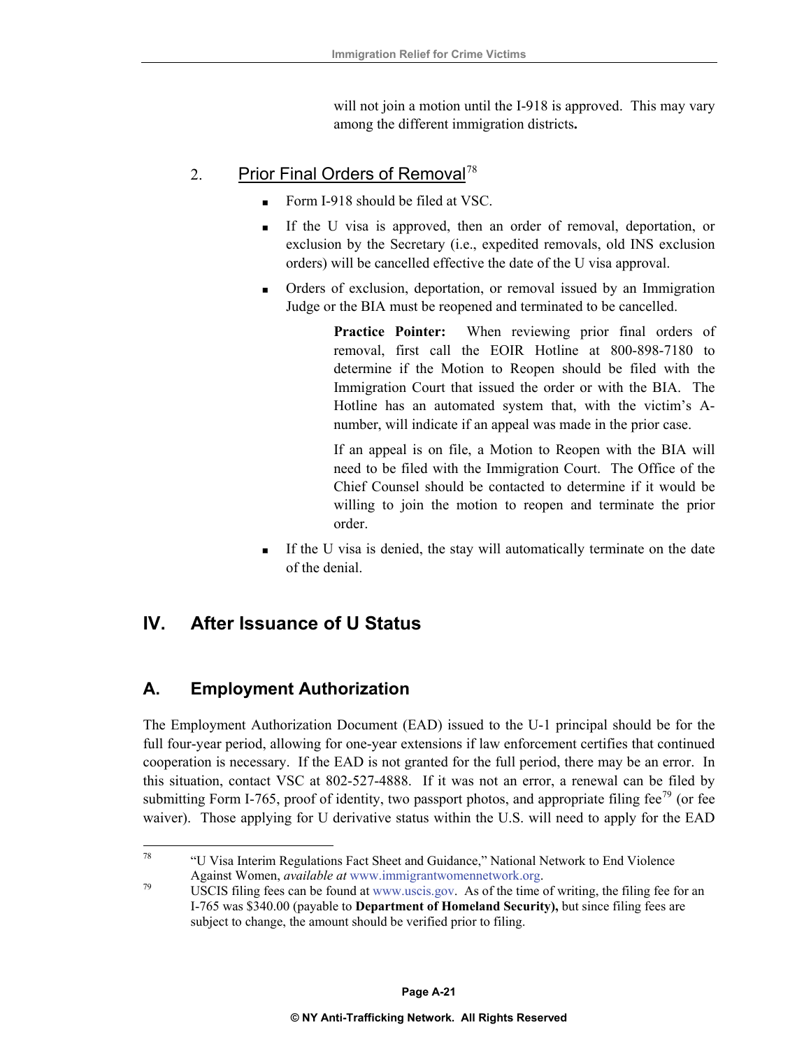will not join a motion until the I-918 is approved. This may vary among the different immigration districts**.** 

# 2. Prior Final Orders of Removal[78](#page-26-0)

- Form I-918 should be filed at VSC.
- If the U visa is approved, then an order of removal, deportation, or exclusion by the Secretary (i.e., expedited removals, old INS exclusion orders) will be cancelled effective the date of the U visa approval.
- Orders of exclusion, deportation, or removal issued by an Immigration Judge or the BIA must be reopened and terminated to be cancelled.

**Practice Pointer:** When reviewing prior final orders of removal, first call the EOIR Hotline at 800-898-7180 to determine if the Motion to Reopen should be filed with the Immigration Court that issued the order or with the BIA. The Hotline has an automated system that, with the victim's Anumber, will indicate if an appeal was made in the prior case.

If an appeal is on file, a Motion to Reopen with the BIA will need to be filed with the Immigration Court. The Office of the Chief Counsel should be contacted to determine if it would be willing to join the motion to reopen and terminate the prior order.

 If the U visa is denied, the stay will automatically terminate on the date of the denial.

# **IV. After Issuance of U Status**

# **A. Employment Authorization**

The Employment Authorization Document (EAD) issued to the U-1 principal should be for the full four-year period, allowing for one-year extensions if law enforcement certifies that continued cooperation is necessary. If the EAD is not granted for the full period, there may be an error. In this situation, contact VSC at 802-527-4888. If it was not an error, a renewal can be filed by submitting Form I-765, proof of identity, two passport photos, and appropriate filing fee<sup>[79](#page-26-1)</sup> (or fee waiver). Those applying for U derivative status within the U.S. will need to apply for the EAD

<span id="page-26-0"></span> $78\,$ 78 "U Visa Interim Regulations Fact Sheet and Guidance," National Network to End Violence

<span id="page-26-1"></span>Against Women, *available at* ww[w.immigrantwom](http://www.uscis.gov/)ennetwork.org.<br><sup>79</sup> USCIS filing fees can be found at [www.uscis.gov](http://www.uscis.gov/). As of the time of writing, the filing fee for an I-765 was \$340.00 (payable to **Department of Homeland Security),** but since filing fees are subject to change, the amount should be verified prior to filing.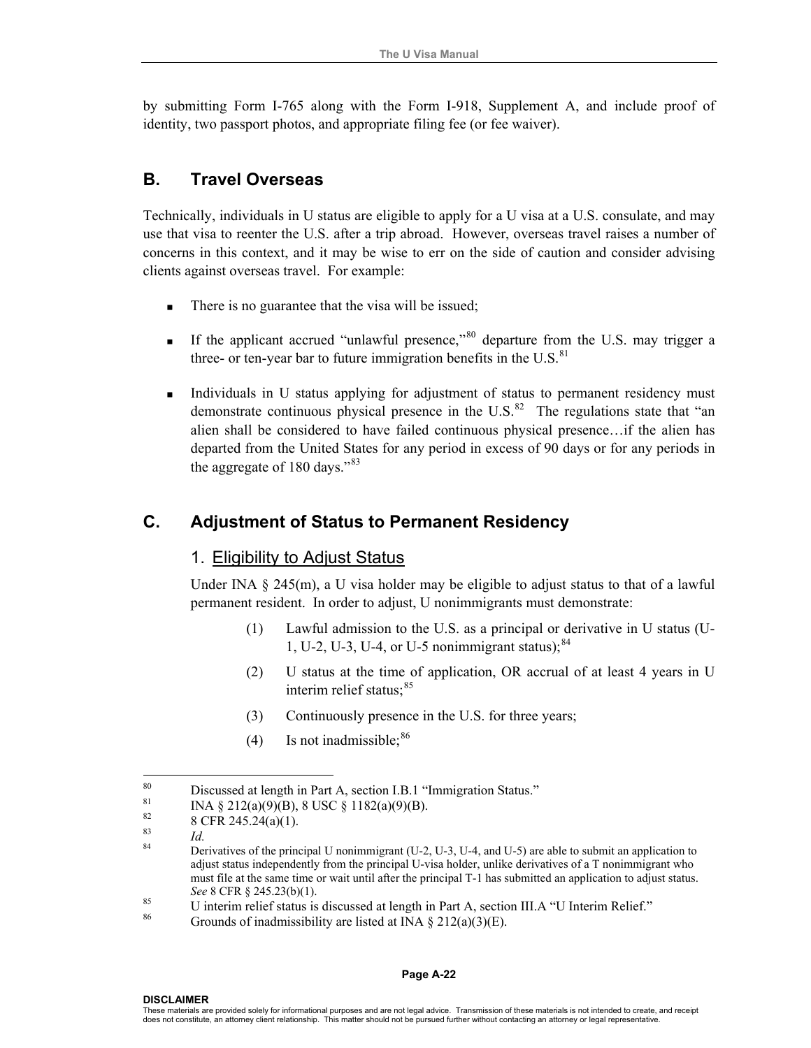by submitting Form I-765 along with the Form I-918, Supplement A, and include proof of identity, two passport photos, and appropriate filing fee (or fee waiver).

#### **B. Travel Overseas**

Technically, individuals in U status are eligible to apply for a U visa at a U.S. consulate, and may use that visa to reenter the U.S. after a trip abroad. However, overseas travel raises a number of concerns in this context, and it may be wise to err on the side of caution and consider advising clients against overseas travel. For example:

- There is no guarantee that the visa will be issued;
- If the applicant accrued "unlawful presence,"<sup>[80](#page-27-0)</sup> departure from the U.S. may trigger a three- or ten-year bar to future immigration benefits in the  $U.S.<sup>81</sup>$  $U.S.<sup>81</sup>$  $U.S.<sup>81</sup>$
- Individuals in U status applying for adjustment of status to permanent residency must demonstrate continuous physical presence in the U.S. $^{82}$  $^{82}$  $^{82}$  The regulations state that "an alien shall be considered to have failed continuous physical presence…if the alien has departed from the United States for any period in excess of 90 days or for any periods in the aggregate of 180 days."<sup>[83](#page-27-3)</sup>

# **C. Adjustment of Status to Permanent Residency**

#### 1. Eligibility to Adjust Status

Under INA  $\S$  245(m), a U visa holder may be eligible to adjust status to that of a lawful permanent resident. In order to adjust, U nonimmigrants must demonstrate:

- (1) Lawful admission to the U.S. as a principal or derivative in U status (U-1, U-2, U-3, U-4, or U-5 nonimmigrant status); $^{84}$  $^{84}$  $^{84}$
- (2) U status at the time of application, OR accrual of at least 4 years in U interim relief status; $85$
- (3) Continuously presence in the U.S. for three years;
- $(4)$  Is not inadmissible;  $86$

#### **DISCLAIMER**

<span id="page-27-1"></span><span id="page-27-0"></span><sup>80</sup> <sup>80</sup> Discussed at length in Part A, section I.B.1 "Immigration Status."<br><sup>81</sup> Discussed at length in Part A, section I.B.1 "Immigration Status."

<sup>&</sup>lt;sup>81</sup> INA § 212(a)(9)(B), 8 USC § 1182(a)(9)(B).<br><sup>82</sup> P. CER 245 24(a)(1)

<span id="page-27-2"></span> $82 \atop{83}$  8 CFR 245.24(a)(1).

<span id="page-27-4"></span><span id="page-27-3"></span><sup>&</sup>lt;sup>83</sup> *Id.* Derivatives of the principal U nonimmigrant (U-2, U-3, U-4, and U-5) are able to submit an application to adjust status independently from the principal U-visa holder, unlike derivatives of a T nonimmigrant who must file at the same time or wait until after the principal T-1 has submitted an application to adjust status. *See* 8 CFR § 245.23(b)(1).<br><sup>85</sup> U interim relief status is discussed at length in Part A, section III.A "U Interim Relief."<br><sup>86</sup> Grounds of inadmissibility are listed at INA § 212(a)(3)(E).

<span id="page-27-5"></span>

<span id="page-27-6"></span>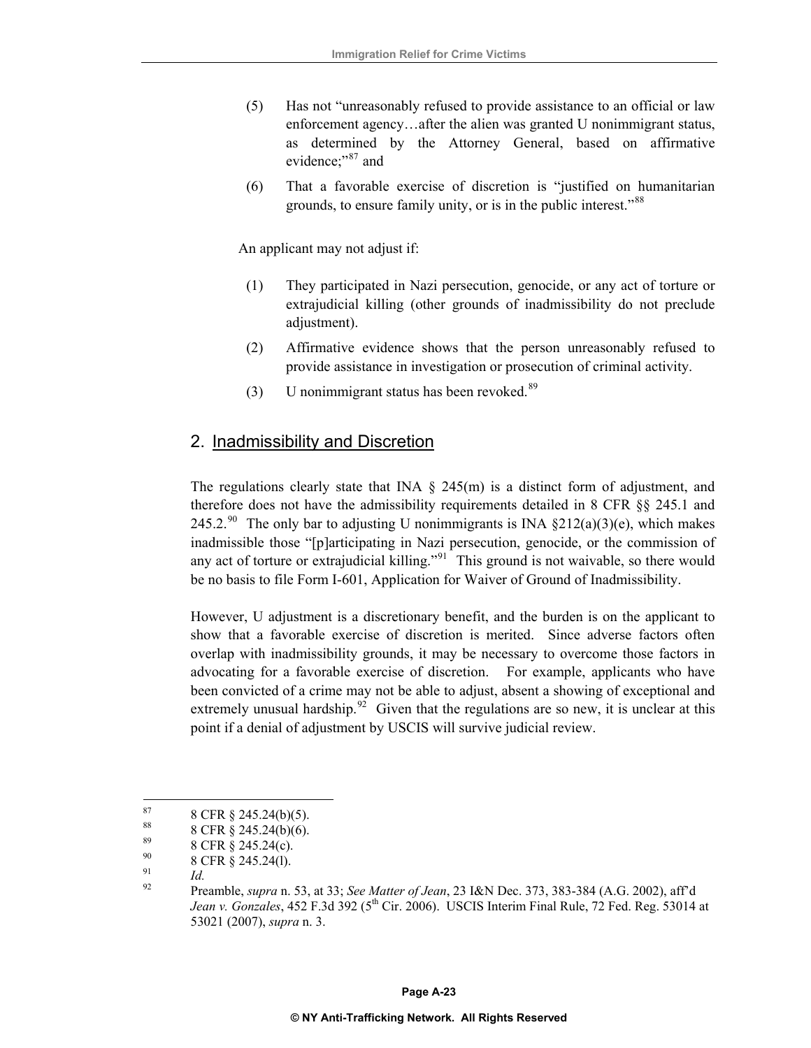- (5) Has not "unreasonably refused to provide assistance to an official or law enforcement agency…after the alien was granted U nonimmigrant status, as determined by the Attorney General, based on affirmative evidence;"<sup>87</sup> and
- (6) That a favorable exercise of discretion is "justified on humanitarian grounds, to ensure family unity, or is in the public interest."<sup>[88](#page-28-0)</sup>

An applicant may not adjust if:

- (1) They participated in Nazi persecution, genocide, or any act of torture or extrajudicial killing (other grounds of inadmissibility do not preclude adjustment).
- (2) Affirmative evidence shows that the person unreasonably refused to provide assistance in investigation or prosecution of criminal activity.
- (3) U nonimmigrant status has been revoked. $89$

#### 2. Inadmissibility and Discretion

The regulations clearly state that INA  $\S$  245(m) is a distinct form of adjustment, and therefore does not have the admissibility requirements detailed in 8 CFR §§ 245.1 and 245.2.<sup>[90](#page-28-2)</sup> The only bar to adjusting U nonimmigrants is INA  $\S212(a)(3)(e)$ , which makes inadmissible those "[p]articipating in Nazi persecution, genocide, or the commission of any act of torture or extrajudicial killing."<sup>[91](#page-28-3)</sup> This ground is not waivable, so there would be no basis to file Form I-601, Application for Waiver of Ground of Inadmissibility.

However, U adjustment is a discretionary benefit, and the burden is on the applicant to show that a favorable exercise of discretion is merited. Since adverse factors often overlap with inadmissibility grounds, it may be necessary to overcome those factors in advocating for a favorable exercise of discretion. For example, applicants who have been convicted of a crime may not be able to adjust, absent a showing of exceptional and extremely unusual hardship.<sup>[92](#page-28-4)</sup> Given that the regulations are so new, it is unclear at this point if a denial of adjustment by USCIS will survive judicial review.

<span id="page-28-0"></span><sup>87</sup>  $8\ {\rm CFR} \ \ \frac{8}{3} \ \ 245.24(b)(5).$ 

<sup>&</sup>lt;sup>88</sup> 8 CFR § 245.24(b)(6).

<span id="page-28-1"></span> $8^{\circ}$  8 CFR § 245.24(c).

<span id="page-28-3"></span><span id="page-28-2"></span> $^{90}_{91}$  8 CFR § 245.24(1).

<span id="page-28-4"></span><sup>91</sup>*Id.* 92 Preamble, *supra* n. 53, at 33; *See Matter of Jean*, 23 I&N Dec. 373, 383-384 (A.G. 2002), aff'd *Jean v. Gonzales*, 452 F.3d 392 (5<sup>th</sup> Cir. 2006). USCIS Interim Final Rule, 72 Fed. Reg. 53014 at 53021 (2007), *supra* n. 3.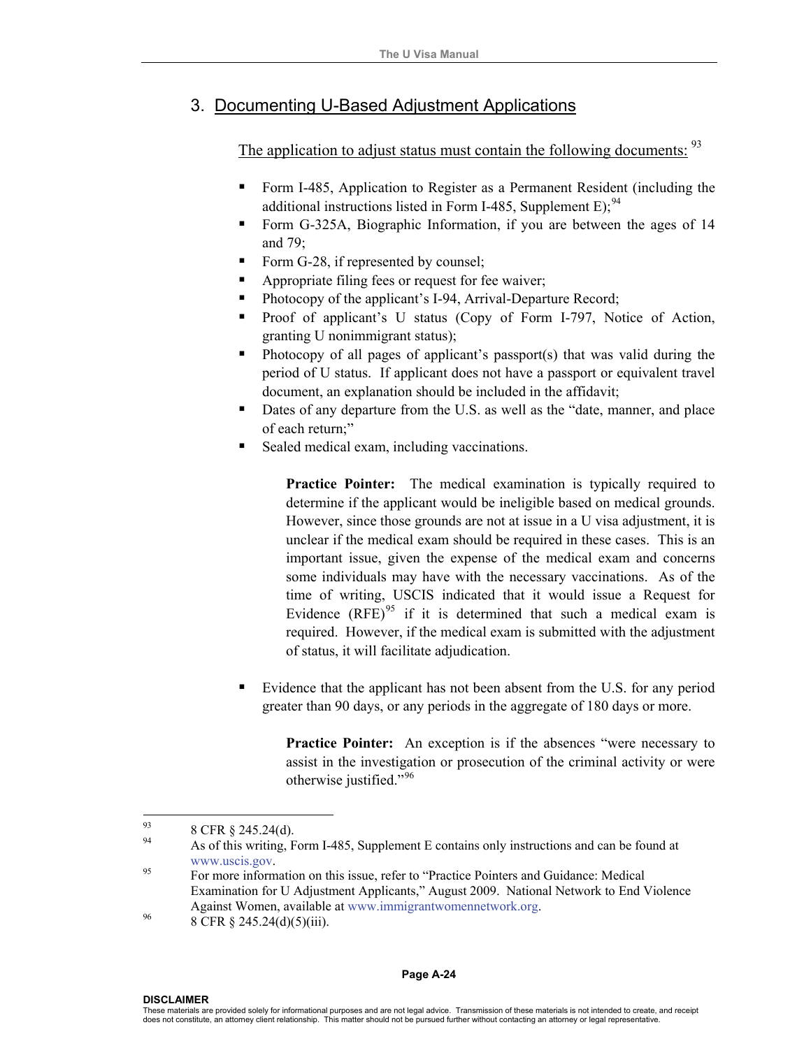# 3. Documenting U-Based Adjustment Applications

The application to adjust status must contain the following documents: <sup>[93](#page-29-0)</sup>

- Form I-485, Application to Register as a Permanent Resident (including the additional instructions listed in Form I-485, Supplement E);  $94$
- Form G-325A, Biographic Information, if you are between the ages of 14 and 79;
- Form G-28, if represented by counsel;
- Appropriate filing fees or request for fee waiver;
- Photocopy of the applicant's I-94, Arrival-Departure Record;
- Proof of applicant's U status (Copy of Form I-797, Notice of Action, granting U nonimmigrant status);
- **Photocopy of all pages of applicant's passport(s) that was valid during the** period of U status. If applicant does not have a passport or equivalent travel document, an explanation should be included in the affidavit;
- Dates of any departure from the U.S. as well as the "date, manner, and place of each return;"
- Sealed medical exam, including vaccinations.

**Practice Pointer:** The medical examination is typically required to determine if the applicant would be ineligible based on medical grounds. However, since those grounds are not at issue in a U visa adjustment, it is unclear if the medical exam should be required in these cases. This is an important issue, given the expense of the medical exam and concerns some individuals may have with the necessary vaccinations. As of the time of writing, USCIS indicated that it would issue a Request for Evidence  $(RFE)^{95}$  $(RFE)^{95}$  $(RFE)^{95}$  if it is determined that such a medical exam is required. However, if the medical exam is submitted with the adjustment of status, it will facilitate adjudication.

 Evidence that the applicant has not been absent from the U.S. for any period greater than 90 days, or any periods in the aggregate of 180 days or more.

**Practice Pointer:** An exception is if the absences "were necessary to assist in the investigation or prosecution of the criminal activity or were otherwise justified."<sup>[96](#page-29-3)</sup>

<span id="page-29-1"></span><span id="page-29-0"></span><sup>93</sup>  $^{93}$  8 CFR § 245.24(d).

As of this writing, Form I-485, Supplement E contains only instructions and can be found at www.uscis.gov.<br><sup>95</sup> For more information on this issue, refer to "Practice Pointers and Guidance: Medical

<span id="page-29-2"></span>Examination for U Adjustment Applicants," August 2009. National Network to End Violence Against Women, available at www.immigrantwomennetwork.org.<br>8 CFR § 245.24(d)(5)(iii).

<span id="page-29-3"></span>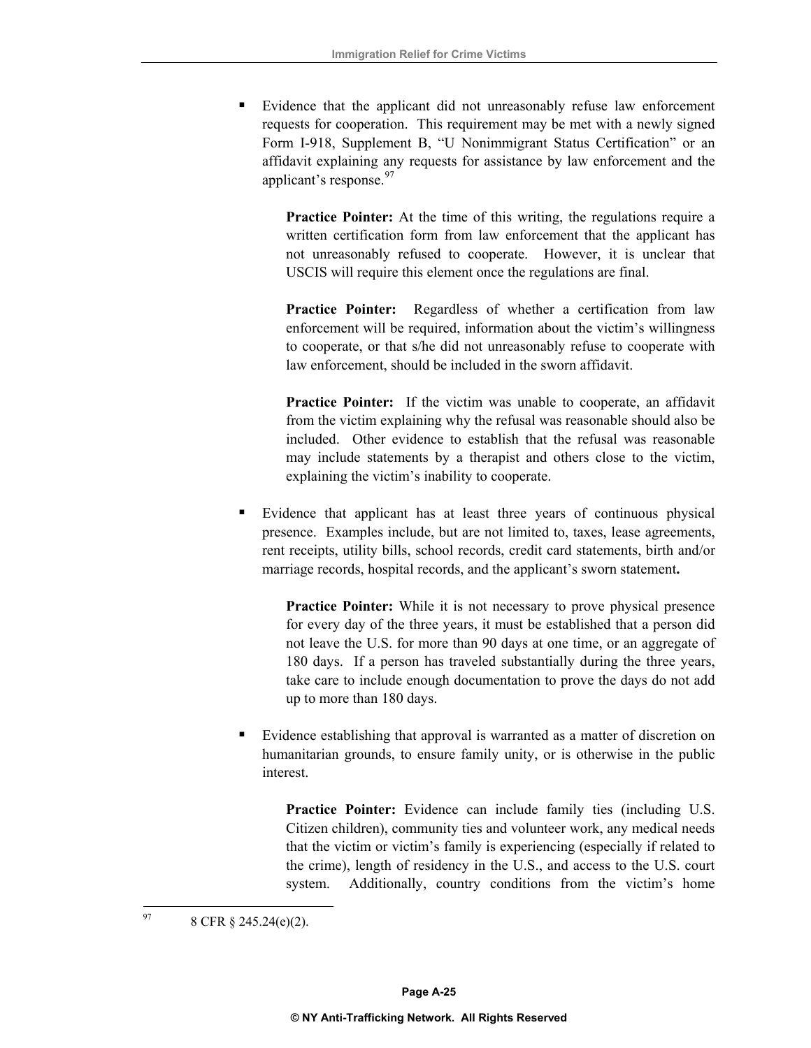Evidence that the applicant did not unreasonably refuse law enforcement requests for cooperation. This requirement may be met with a newly signed Form I-918, Supplement B, "U Nonimmigrant Status Certification" or an affidavit explaining any requests for assistance by law enforcement and the applicant's response.  $97$ 

**Practice Pointer:** At the time of this writing, the regulations require a written certification form from law enforcement that the applicant has not unreasonably refused to cooperate. However, it is unclear that USCIS will require this element once the regulations are final.

**Practice Pointer:** Regardless of whether a certification from law enforcement will be required, information about the victim's willingness to cooperate, or that s/he did not unreasonably refuse to cooperate with law enforcement, should be included in the sworn affidavit.

**Practice Pointer:** If the victim was unable to cooperate, an affidavit from the victim explaining why the refusal was reasonable should also be included. Other evidence to establish that the refusal was reasonable may include statements by a therapist and others close to the victim, explaining the victim's inability to cooperate.

 Evidence that applicant has at least three years of continuous physical presence. Examples include, but are not limited to, taxes, lease agreements, rent receipts, utility bills, school records, credit card statements, birth and/or marriage records, hospital records, and the applicant's sworn statement**.** 

**Practice Pointer:** While it is not necessary to prove physical presence for every day of the three years, it must be established that a person did not leave the U.S. for more than 90 days at one time, or an aggregate of 180 days. If a person has traveled substantially during the three years, take care to include enough documentation to prove the days do not add up to more than 180 days.

 Evidence establishing that approval is warranted as a matter of discretion on humanitarian grounds, to ensure family unity, or is otherwise in the public interest.

**Practice Pointer:** Evidence can include family ties (including U.S. Citizen children), community ties and volunteer work, any medical needs that the victim or victim's family is experiencing (especially if related to the crime), length of residency in the U.S., and access to the U.S. court system. Additionally, country conditions from the victim's home

<span id="page-30-0"></span> $97$ 8 CFR § 245.24(e)(2).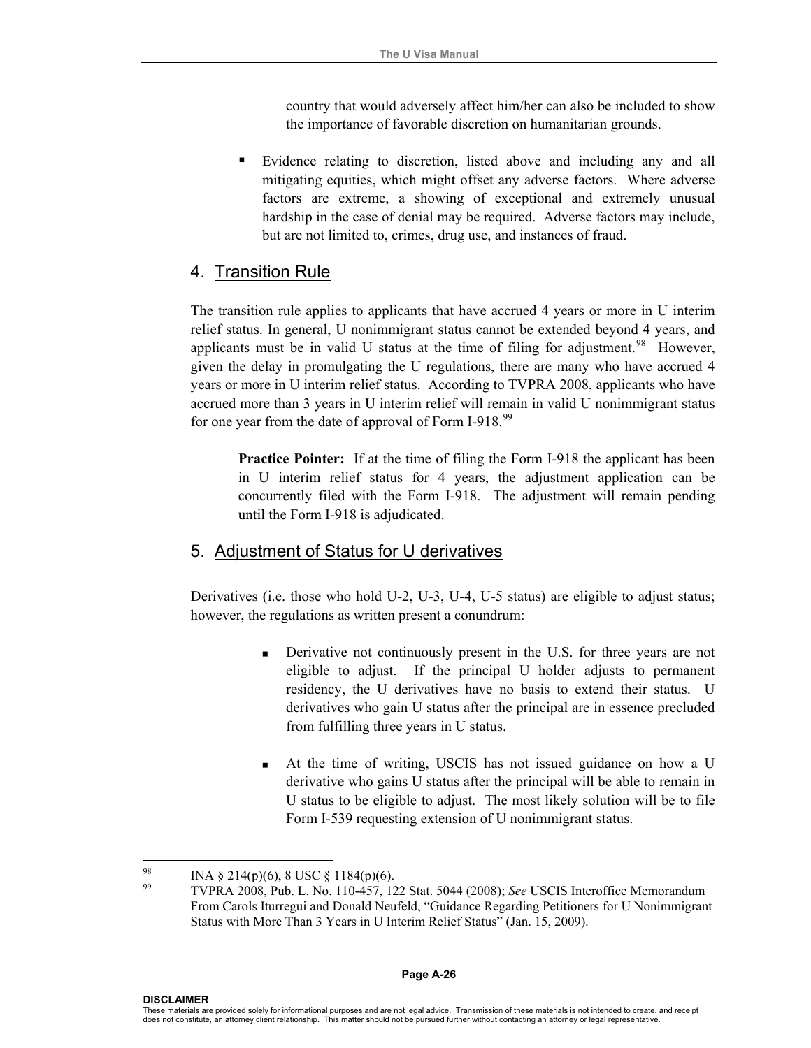country that would adversely affect him/her can also be included to show the importance of favorable discretion on humanitarian grounds.

 Evidence relating to discretion, listed above and including any and all mitigating equities, which might offset any adverse factors. Where adverse factors are extreme, a showing of exceptional and extremely unusual hardship in the case of denial may be required. Adverse factors may include, but are not limited to, crimes, drug use, and instances of fraud.

## 4. Transition Rule

The transition rule applies to applicants that have accrued 4 years or more in U interim relief status. In general, U nonimmigrant status cannot be extended beyond 4 years, and applicants must be in valid U status at the time of filing for adjustment.<sup>[98](#page-31-0)</sup> However, given the delay in promulgating the U regulations, there are many who have accrued 4 years or more in U interim relief status. According to TVPRA 2008, applicants who have accrued more than 3 years in U interim relief will remain in valid U nonimmigrant status for one year from the date of approval of Form I-918.<sup>[99](#page-31-1)</sup>

**Practice Pointer:** If at the time of filing the Form I-918 the applicant has been in U interim relief status for 4 years, the adjustment application can be concurrently filed with the Form I-918. The adjustment will remain pending until the Form I-918 is adjudicated.

#### 5. Adjustment of Status for U derivatives

Derivatives (i.e. those who hold U-2, U-3, U-4, U-5 status) are eligible to adjust status; however, the regulations as written present a conundrum:

- **EXECUTE:** Derivative not continuously present in the U.S. for three years are not eligible to adjust. If the principal U holder adjusts to permanent residency, the U derivatives have no basis to extend their status. U derivatives who gain U status after the principal are in essence precluded from fulfilling three years in U status.
- At the time of writing, USCIS has not issued guidance on how a U derivative who gains U status after the principal will be able to remain in U status to be eligible to adjust. The most likely solution will be to file Form I-539 requesting extension of U nonimmigrant status.

<span id="page-31-1"></span><span id="page-31-0"></span> $98$  $^{98}$  INA § 214(p)(6), 8 USC § 1184(p)(6).

<sup>99</sup> TVPRA 2008, Pub. L. No. 110-457, 122 Stat. 5044 (2008); *See* USCIS Interoffice Memorandum From Carols Iturregui and Donald Neufeld, "Guidance Regarding Petitioners for U Nonimmigrant Status with More Than 3 Years in U Interim Relief Status" (Jan. 15, 2009).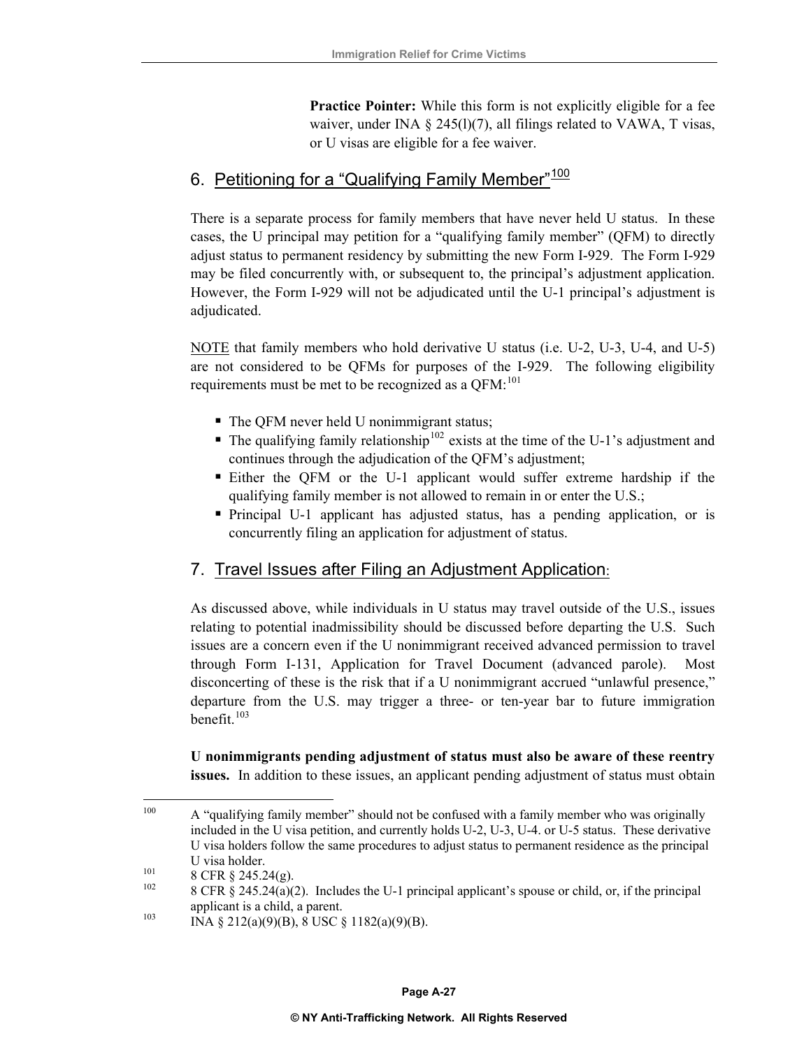**Practice Pointer:** While this form is not explicitly eligible for a fee waiver, under INA  $\S$  245(l)(7), all filings related to VAWA, T visas, or U visas are eligible for a fee waiver.

# 6. Petitioning for a "Qualifying Family Member"<sup>[100](#page-32-0)</sup>

There is a separate process for family members that have never held U status. In these cases, the U principal may petition for a "qualifying family member" (QFM) to directly adjust status to permanent residency by submitting the new Form I-929. The Form I-929 may be filed concurrently with, or subsequent to, the principal's adjustment application. However, the Form I-929 will not be adjudicated until the U-1 principal's adjustment is adjudicated.

NOTE that family members who hold derivative U status (i.e. U-2, U-3, U-4, and U-5) are not considered to be QFMs for purposes of the I-929. The following eligibility requirements must be met to be recognized as a QFM:<sup>[101](#page-32-1)</sup>

- The QFM never held U nonimmigrant status;
- $\blacksquare$  The qualifying family relationship<sup>[102](#page-32-2)</sup> exists at the time of the U-1's adjustment and continues through the adjudication of the QFM's adjustment;
- Either the QFM or the U-1 applicant would suffer extreme hardship if the qualifying family member is not allowed to remain in or enter the U.S.;
- Principal U-1 applicant has adjusted status, has a pending application, or is concurrently filing an application for adjustment of status.

## 7. Travel Issues after Filing an Adjustment Application:

As discussed above, while individuals in U status may travel outside of the U.S., issues relating to potential inadmissibility should be discussed before departing the U.S. Such issues are a concern even if the U nonimmigrant received advanced permission to travel through Form I-131, Application for Travel Document (advanced parole). Most disconcerting of these is the risk that if a U nonimmigrant accrued "unlawful presence," departure from the U.S. may trigger a three- or ten-year bar to future immigration benefit.<sup>[103](#page-32-3)</sup>

**U nonimmigrants pending adjustment of status must also be aware of these reentry issues.** In addition to these issues, an applicant pending adjustment of status must obtain

<span id="page-32-0"></span><sup>100</sup> A "qualifying family member" should not be confused with a family member who was originally included in the U visa petition, and currently holds U-2, U-3, U-4. or U-5 status. These derivative U visa holders follow the same procedures to adjust status to permanent residence as the principal U visa holder.<br>
101 8 CFR § 245.24(g).<br>
102 8 CFR § 245.24(a)(2). Includes the U-1 principal applicant's spouse or child, or, if the principal

<span id="page-32-2"></span><span id="page-32-1"></span>

<span id="page-32-3"></span>applicant is a child, a parent.<br>
INA § 212(a)(9)(B), 8 USC § 1182(a)(9)(B).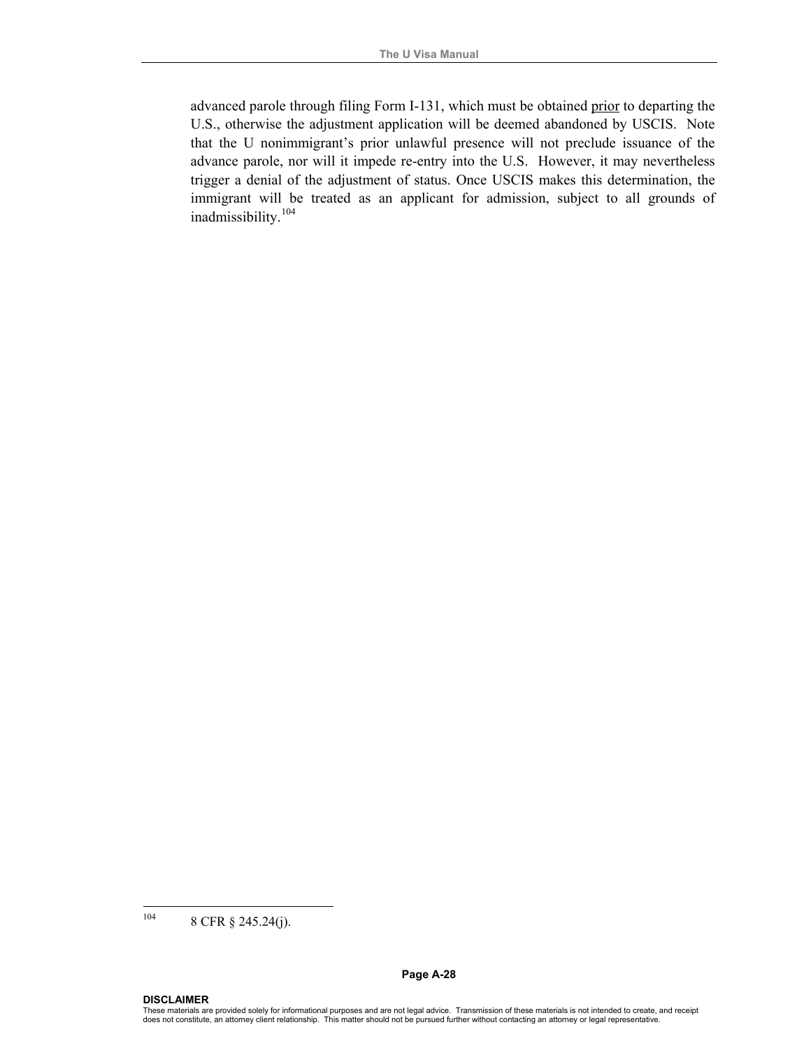advanced parole through filing Form I-131, which must be obtained prior to departing the U.S., otherwise the adjustment application will be deemed abandoned by USCIS. Note that the U nonimmigrant's prior unlawful presence will not preclude issuance of the advance parole, nor will it impede re-entry into the U.S. However, it may nevertheless trigger a denial of the adjustment of status. Once USCIS makes this determination, the immigrant will be treated as an applicant for admission, subject to all grounds of inadmissibility.[104](#page-33-0)

<span id="page-33-0"></span><sup>104</sup> 8 CFR § 245.24(j).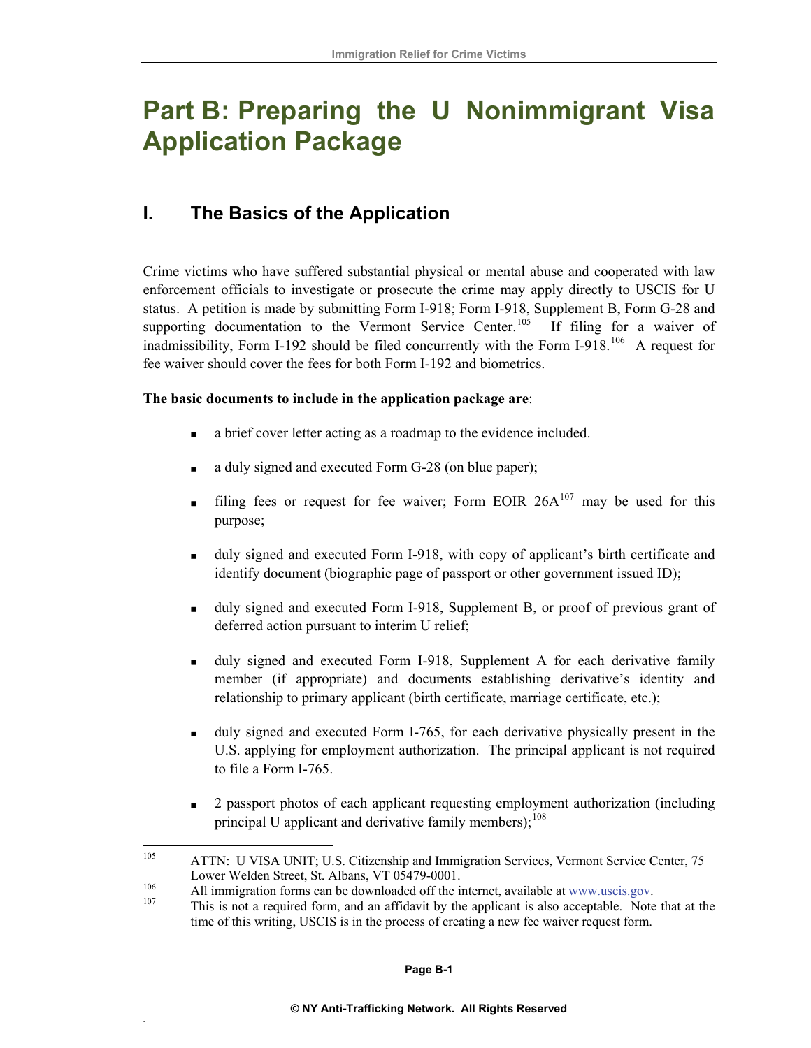# **Part B: Preparing the U Nonimmigrant Visa Application Package**

# **I. The Basics of the Application**

Crime victims who have suffered substantial physical or mental abuse and cooperated with law enforcement officials to investigate or prosecute the crime may apply directly to USCIS for U status. A petition is made by submitting Form I-918; Form I-918, Supplement B, Form G-28 and supporting documentation to the Vermont Service Center.<sup>[105](#page-34-0)</sup> If filing for a waiver of inadmissibility, Form I-192 should be filed concurrently with the Form I-918.<sup>[106](#page-34-1)</sup> A request for fee waiver should cover the fees for both Form I-192 and biometrics.

#### **The basic documents to include in the application package are**:

- a brief cover letter acting as a roadmap to the evidence included.
- a duly signed and executed Form G-28 (on blue paper);
- filing fees or request for fee waiver; Form EOIR  $26A^{107}$  $26A^{107}$  $26A^{107}$  may be used for this purpose;
- uly signed and executed Form I-918, with copy of applicant's birth certificate and identify document (biographic page of passport or other government issued ID);
- $\blacksquare$  duly signed and executed Form I-918, Supplement B, or proof of previous grant of deferred action pursuant to interim U relief;
- member (if appropriate) and documents establishing derivative's identity and relationship to primary applicant (birth certificate, marriage certificate, etc.); duly signed and executed Form I-918, Supplement A for each derivative family
- U.S. applying for employment authorization. The principal applicant is not required to file a Form I-765. duly signed and executed Form I-765, for each derivative physically present in the
- $\blacksquare$  2 passport photos of each applicant requesting employment authorization (including principal U applicant and derivative family members); $^{108}$
- <span id="page-34-0"></span>105 ATTN: U VISA UNIT; U.S. Citizenship and Immigration Services, Vermont Service Center, 75
- 

.

<span id="page-34-2"></span><span id="page-34-1"></span>Lower Welden Street, St. Albans, VT 05479-0001.<br>
All immigration forms can be downloaded off the internet, available at [www.uscis.gov](http://www.uscis.gov/).<br>
This is not a required form, and an affidavit by the applicant is also acceptable. Not time of this writing, USCIS is in the process of creating a new fee waiver request form.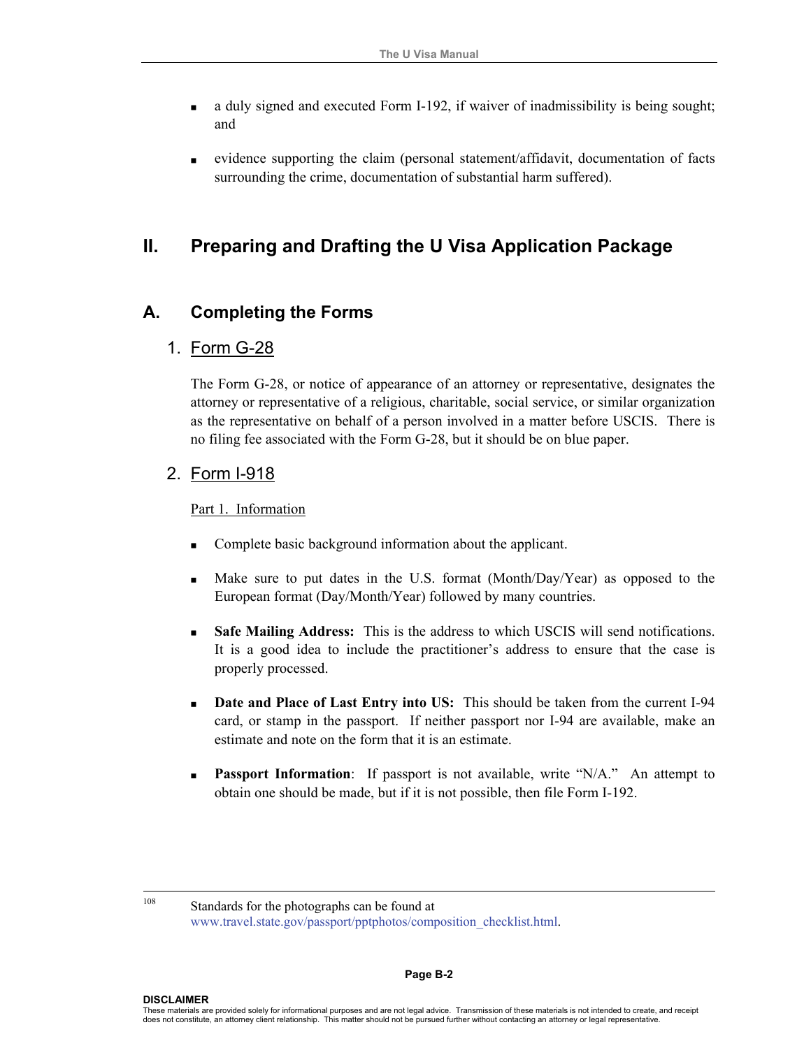- a duly signed and executed Form I-192, if waiver of inadmissibility is being sought; and
- evidence supporting the claim (personal statement/affidavit, documentation of facts surrounding the crime, documentation of substantial harm suffered).

# **II. Preparing and Drafting the U Visa Application Package**

# **A. Completing the Forms**

#### 1. Form G-28

The Form G-28, or notice of appearance of an attorney or representative, designates the attorney or representative of a religious, charitable, social service, or similar organization as the representative on behalf of a person involved in a matter before USCIS. There is no filing fee associated with the Form G-28, but it should be on blue paper.

#### 2. Form I-918

#### Part 1. Information

- Complete basic background information about the applicant.
- Make sure to put dates in the U.S. format (Month/Day/Year) as opposed to the European format (Day/Month/Year) followed by many countries.
- **Safe Mailing Address:** This is the address to which USCIS will send notifications. It is a good idea to include the practitioner's address to ensure that the case is properly processed.
- **Date and Place of Last Entry into US:** This should be taken from the current I-94 card, or stamp in the passport. If neither passport nor I-94 are available, make an estimate and note on the form that it is an estimate.
- **Passport Information**: If passport is not available, write "N/A." An attempt to obtain one should be made, but if it is not possible, then file Form I-192.

<sup>108</sup> Standards for the photographs can be found at www.travel.state.gov/passport/pptphotos/composition\_checklist.html.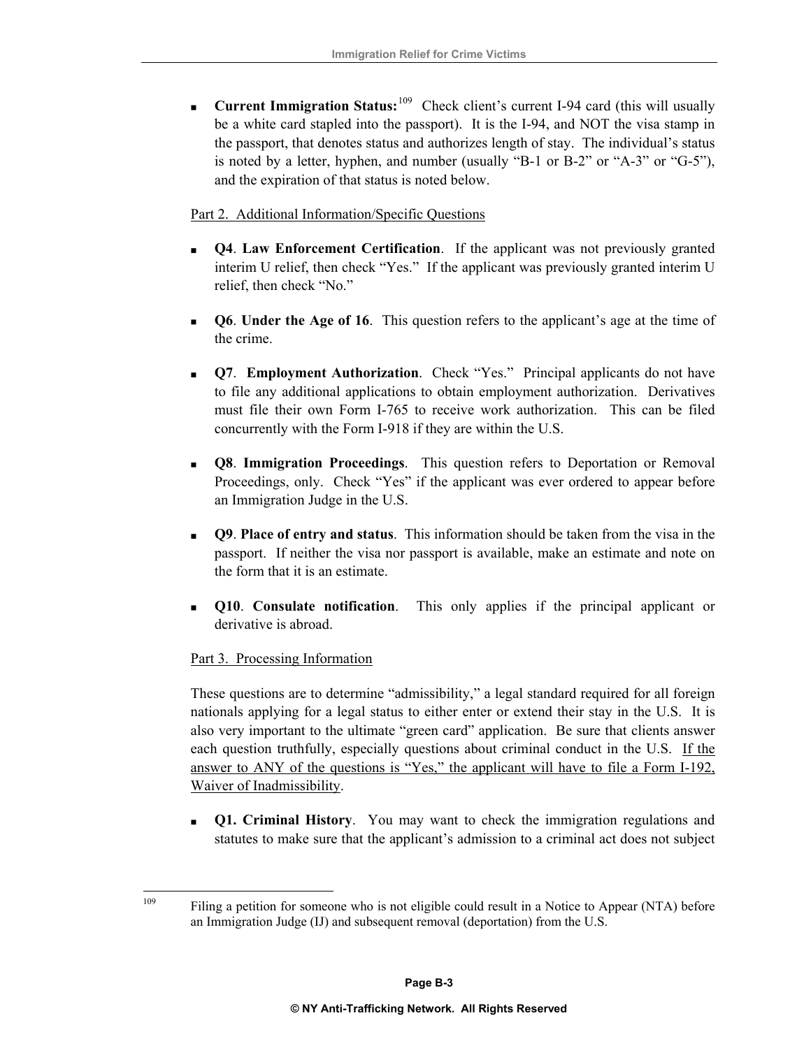**Current Immigration Status:**<sup>[109](#page-36-0)</sup> Check client's current I-94 card (this will usually be a white card stapled into the passport). It is the I-94, and NOT the visa stamp in the passport, that denotes status and authorizes length of stay. The individual's status is noted by a letter, hyphen, and number (usually "B-1 or B-2" or "A-3" or "G-5"), and the expiration of that status is noted below.

#### Part 2. Additional Information/Specific Questions

- **Q4**. **Law Enforcement Certification**. If the applicant was not previously granted interim U relief, then check "Yes." If the applicant was previously granted interim U relief, then check "No."
- **Q6**. **Under the Age of 16**. This question refers to the applicant's age at the time of the crime.
- **Q7**. **Employment Authorization**. Check "Yes." Principal applicants do not have to file any additional applications to obtain employment authorization. Derivatives must file their own Form I-765 to receive work authorization. This can be filed concurrently with the Form I-918 if they are within the U.S.
- **Q8**. **Immigration Proceedings**. This question refers to Deportation or Removal Proceedings, only. Check "Yes" if the applicant was ever ordered to appear before an Immigration Judge in the U.S.
- **Q9**. **Place of entry and status**.This information should be taken from the visa in the passport. If neither the visa nor passport is available, make an estimate and note on the form that it is an estimate.
- **Q10**. **Consulate notification**. This only applies if the principal applicant or derivative is abroad.

#### Part 3. Processing Information

<span id="page-36-0"></span>109

These questions are to determine "admissibility," a legal standard required for all foreign nationals applying for a legal status to either enter or extend their stay in the U.S. It is also very important to the ultimate "green card" application. Be sure that clients answer each question truthfully, especially questions about criminal conduct in the U.S. If the answer to ANY of the questions is "Yes," the applicant will have to file a Form I-192, Waiver of Inadmissibility.

 **Q1. Criminal History**. You may want to check the immigration regulations and statutes to make sure that the applicant's admission to a criminal act does not subject

Filing a petition for someone who is not eligible could result in a Notice to Appear (NTA) before an Immigration Judge (IJ) and subsequent removal (deportation) from the U.S.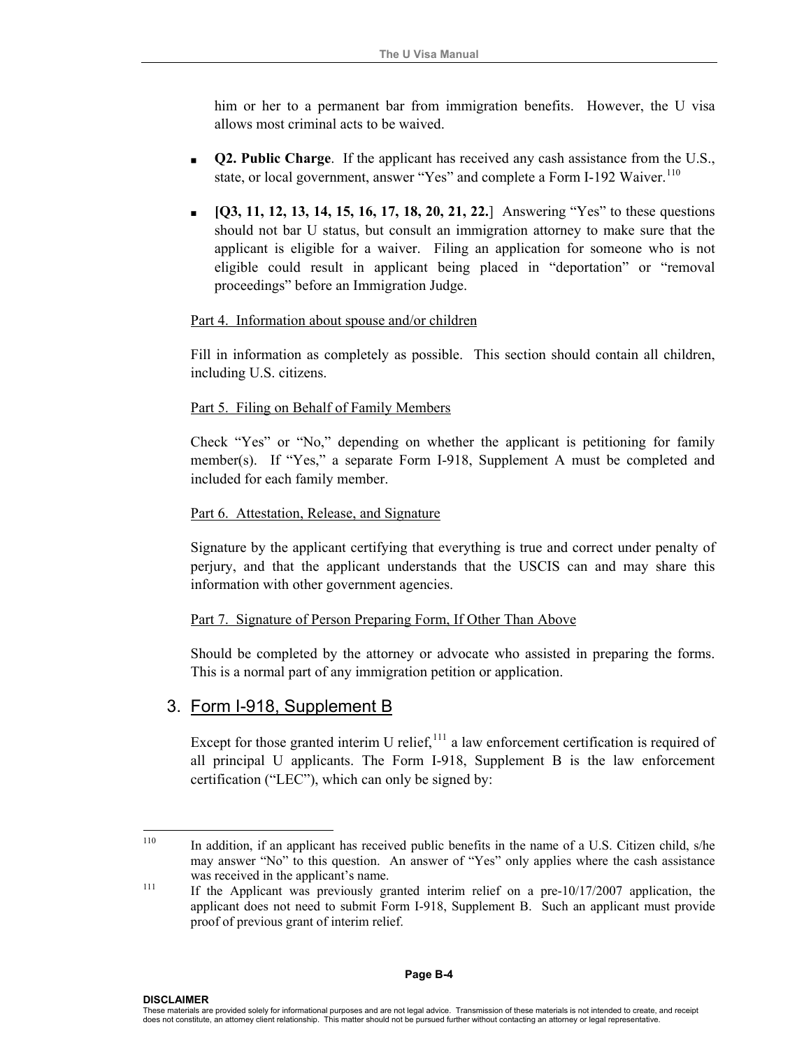him or her to a permanent bar from immigration benefits. However, the U visa allows most criminal acts to be waived.

- **Q2. Public Charge**. If the applicant has received any cash assistance from the U.S., state, or local government, answer "Yes" and complete a Form I-192 Waiver.<sup>[110](#page-37-0)</sup>
- **[Q3, 11, 12, 13, 14, 15, 16, 17, 18, 20, 21, 22.**]Answering "Yes" to these questions should not bar U status, but consult an immigration attorney to make sure that the applicant is eligible for a waiver. Filing an application for someone who is not eligible could result in applicant being placed in "deportation" or "removal proceedings" before an Immigration Judge.

#### Part 4. Information about spouse and/or children

Fill in information as completely as possible. This section should contain all children, including U.S. citizens.

#### Part 5. Filing on Behalf of Family Members

Check "Yes" or "No," depending on whether the applicant is petitioning for family member(s). If "Yes," a separate Form I-918, Supplement A must be completed and included for each family member.

#### Part 6. Attestation, Release, and Signature

Signature by the applicant certifying that everything is true and correct under penalty of perjury, and that the applicant understands that the USCIS can and may share this information with other government agencies.

#### Part 7. Signature of Person Preparing Form, If Other Than Above

Should be completed by the attorney or advocate who assisted in preparing the forms. This is a normal part of any immigration petition or application.

#### 3. Form I-918, Supplement B

 $\overline{a}$ 

Except for those granted interim U relief, $^{111}$  $^{111}$  $^{111}$  a law enforcement certification is required of all principal U applicants. The Form I-918, Supplement B is the law enforcement certification ("LEC"), which can only be signed by:

<span id="page-37-1"></span><span id="page-37-0"></span><sup>&</sup>lt;sup>110</sup> In addition, if an applicant has received public benefits in the name of a U.S. Citizen child, s/he may answer "No" to this question. An answer of "Yes" only applies where the cash assistance was received in the applicant's name.<br>
<sup>111</sup> If the Applicant was previously granted interim relief on a pre-10/17/2007 application, the

applicant does not need to submit Form I-918, Supplement B. Such an applicant must provide proof of previous grant of interim relief.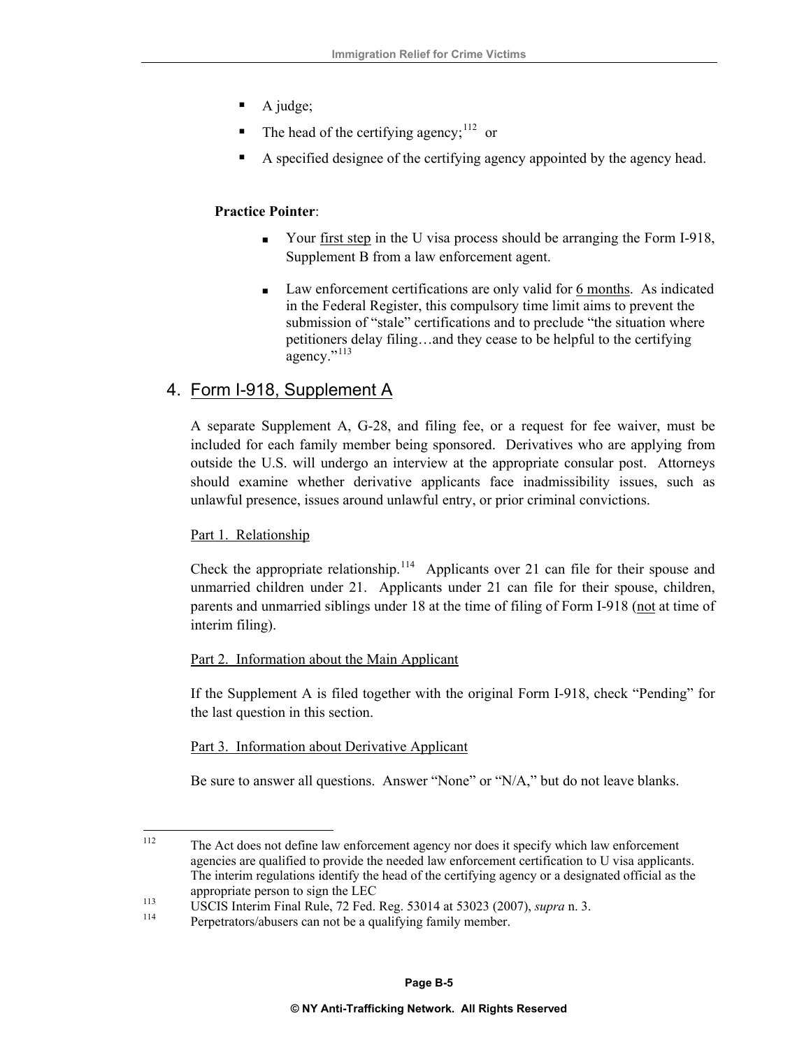- A judge;
- The head of the certifying agency;  $112$  or
- A specified designee of the certifying agency appointed by the agency head.

#### **Practice Pointer**:

- Your <u>first step</u> in the U visa process should be arranging the Form I-918, Supplement B from a law enforcement agent.
- Law enforcement certifications are only valid for 6 months. As indicated in the Federal Register, this compulsory time limit aims to prevent the submission of "stale" certifications and to preclude "the situation where petitioners delay filing…and they cease to be helpful to the certifying agency."<sup>[113](#page-38-1)</sup>

#### 4. Form I-918, Supplement A

A separate Supplement A, G-28, and filing fee, or a request for fee waiver, must be included for each family member being sponsored. Derivatives who are applying from outside the U.S. will undergo an interview at the appropriate consular post. Attorneys should examine whether derivative applicants face inadmissibility issues, such as unlawful presence, issues around unlawful entry, or prior criminal convictions.

#### Part 1. Relationship

Check the appropriate relationship.<sup>[114](#page-38-2)</sup> Applicants over 21 can file for their spouse and unmarried children under 21. Applicants under 21 can file for their spouse, children, parents and unmarried siblings under 18 at the time of filing of Form I-918 (not at time of interim filing).

#### Part 2. Information about the Main Applicant

If the Supplement A is filed together with the original Form I-918, check "Pending" for the last question in this section.

#### Part 3. Information about Derivative Applicant

Be sure to answer all questions. Answer "None" or "N/A," but do not leave blanks.

<span id="page-38-0"></span><sup>112</sup> The Act does not define law enforcement agency nor does it specify which law enforcement agencies are qualified to provide the needed law enforcement certification to U visa applicants. The interim regulations identify the head of the certifying agency or a designated official as the

<span id="page-38-1"></span>appropriate person to sign the LEC<br>
USCIS Interim Final Rule, 72 Fed. Reg. 53014 at 53023 (2007), *supra* n. 3.<br>
Perpetrators/abusers can not be a qualifying family member.

<span id="page-38-2"></span>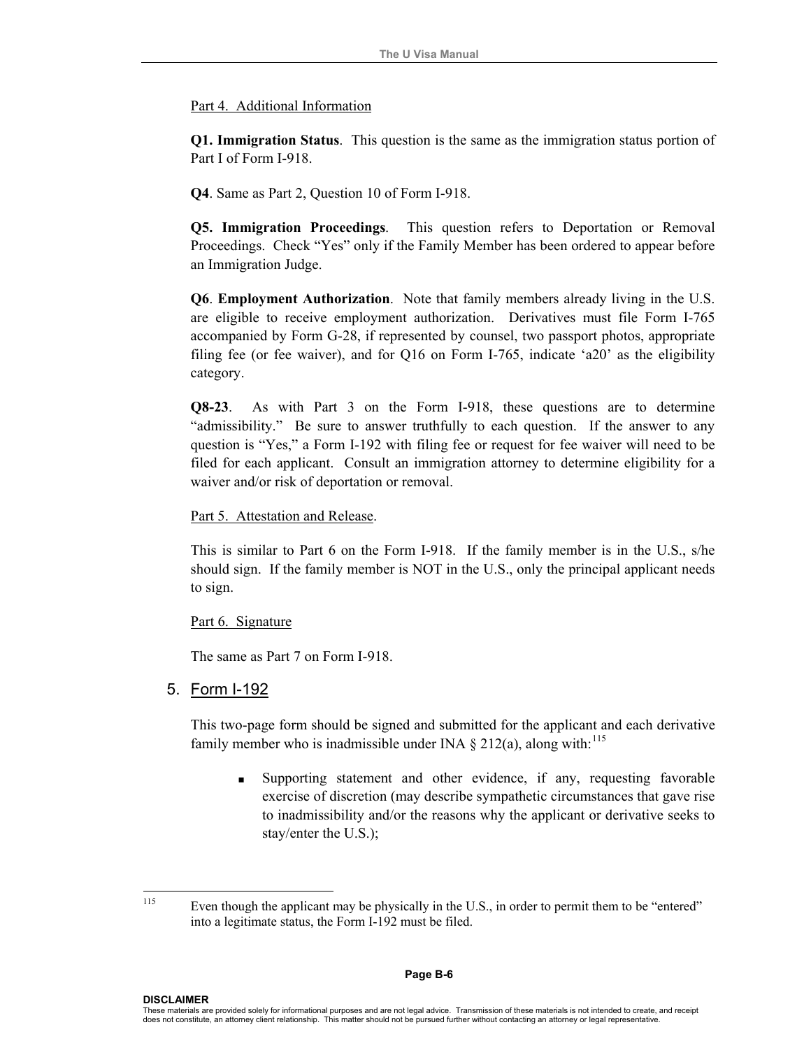#### Part 4. Additional Information

**Q1. Immigration Status**.This question is the same as the immigration status portion of Part I of Form I-918.

**Q4**. Same as Part 2, Question 10 of Form I-918.

**Q5. Immigration Proceedings**. This question refers to Deportation or Removal Proceedings. Check "Yes" only if the Family Member has been ordered to appear before an Immigration Judge.

**Q6**. **Employment Authorization**. Note that family members already living in the U.S. are eligible to receive employment authorization. Derivatives must file Form I-765 accompanied by Form G-28, if represented by counsel, two passport photos, appropriate filing fee (or fee waiver), and for Q16 on Form I-765, indicate 'a20' as the eligibility category.

**Q8-23**. As with Part 3 on the Form I-918, these questions are to determine "admissibility." Be sure to answer truthfully to each question. If the answer to any question is "Yes," a Form I-192 with filing fee or request for fee waiver will need to be filed for each applicant. Consult an immigration attorney to determine eligibility for a waiver and/or risk of deportation or removal.

Part 5. Attestation and Release.

This is similar to Part 6 on the Form I-918. If the family member is in the U.S., s/he should sign. If the family member is NOT in the U.S., only the principal applicant needs to sign.

#### Part 6. Signature

The same as Part 7 on Form I-918.

#### 5. Form I-192

This two-page form should be signed and submitted for the applicant and each derivative family member who is inadmissible under INA  $\S$  212(a), along with:<sup>[115](#page-39-0)</sup>

 Supporting statement and other evidence, if any, requesting favorable exercise of discretion (may describe sympathetic circumstances that gave rise to inadmissibility and/or the reasons why the applicant or derivative seeks to stay/enter the U.S.);

<span id="page-39-0"></span><sup>115</sup> 

Even though the applicant may be physically in the U.S., in order to permit them to be "entered" into a legitimate status, the Form I-192 must be filed.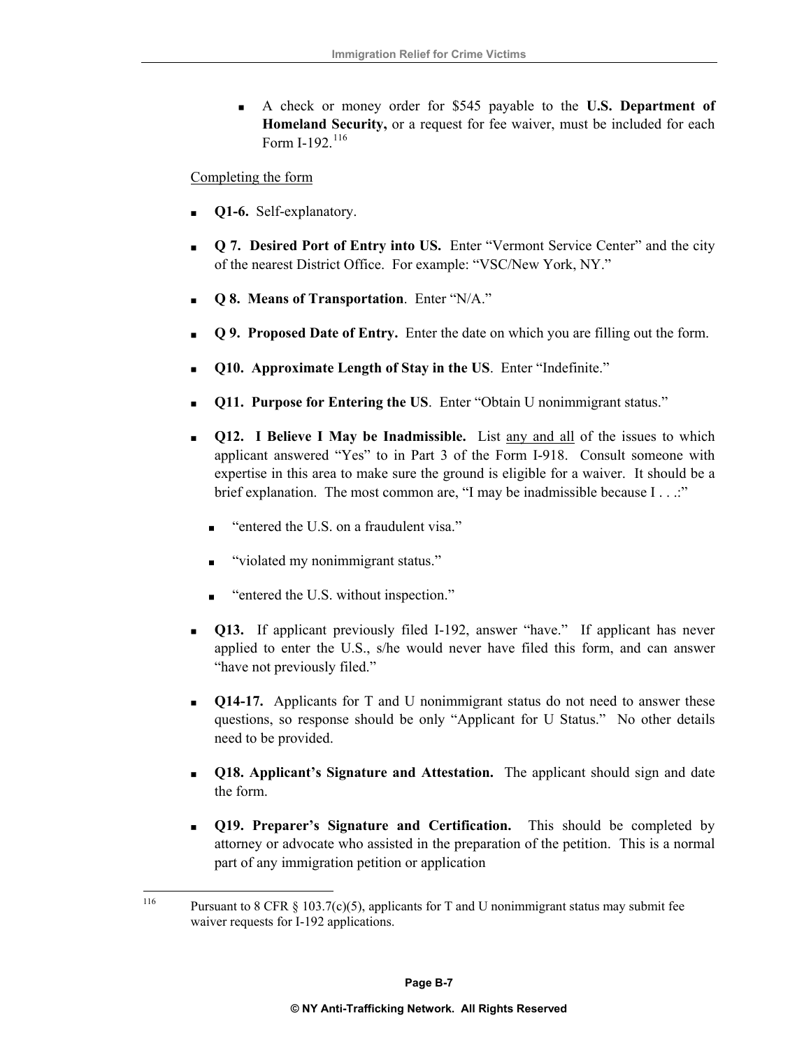A check or money order for \$545 payable to the **U.S. Department of Homeland Security,** or a request for fee waiver, must be included for each Form I-192. $^{116}$  $^{116}$  $^{116}$ 

Completing the form

- **Q1-6.** Self-explanatory.
- **Q 7. Desired Port of Entry into US.** Enter "Vermont Service Center" and the city of the nearest District Office. For example: "VSC/New York, NY."
- **Q 8. Means of Transportation**. Enter "N/A."
- **Q 9. Proposed Date of Entry.** Enter the date on which you are filling out the form.
- **Q10. Approximate Length of Stay in the US**. Enter "Indefinite."
- **Q11. Purpose for Entering the US**. Enter "Obtain U nonimmigrant status."
- **Q12. I Believe I May be Inadmissible.** List any and all of the issues to which applicant answered "Yes" to in Part 3 of the Form I-918. Consult someone with expertise in this area to make sure the ground is eligible for a waiver. It should be a brief explanation. The most common are, "I may be inadmissible because I . . .:"
	- "entered the U.S. on a fraudulent visa."
	- "violated my nonimmigrant status."
	- "entered the U.S. without inspection."
- **Q13.** If applicant previously filed I-192, answer "have." If applicant has never applied to enter the U.S., s/he would never have filed this form, and can answer "have not previously filed."
- **Q14-17.** Applicants for T and U nonimmigrant status do not need to answer these questions, so response should be only "Applicant for U Status." No other details need to be provided.
- **Q18. Applicant's Signature and Attestation.** The applicant should sign and date the form.
- **Q19. Preparer's Signature and Certification.** This should be completed by attorney or advocate who assisted in the preparation of the petition. This is a normal part of any immigration petition or application

<span id="page-40-0"></span><sup>116</sup> Pursuant to 8 CFR  $\S$  103.7(c)(5), applicants for T and U nonimmigrant status may submit fee waiver requests for I-192 applications.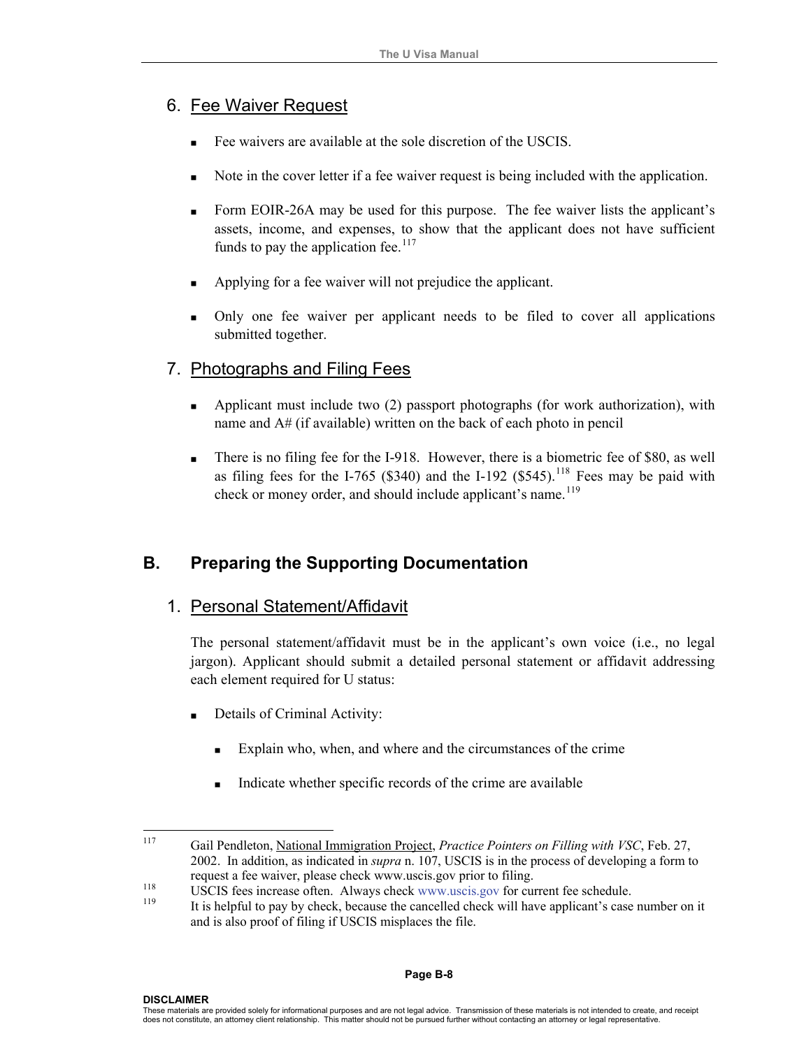# 6. Fee Waiver Request

- Fee waivers are available at the sole discretion of the USCIS.
- Note in the cover letter if a fee waiver request is being included with the application.
- Form EOIR-26A may be used for this purpose. The fee waiver lists the applicant's assets, income, and expenses, to show that the applicant does not have sufficient funds to pay the application fee. $117$
- Applying for a fee waiver will not prejudice the applicant.
- Only one fee waiver per applicant needs to be filed to cover all applications submitted together.

## 7. Photographs and Filing Fees

- Applicant must include two (2) passport photographs (for work authorization), with name and A# (if available) written on the back of each photo in pencil
- There is no filing fee for the I-918. However, there is a biometric fee of \$80, as well as filing fees for the I-765 (\$340) and the I-192 (\$545).<sup>[118](#page-41-1)</sup> Fees may be paid with check or money order, and should include applicant's name.<sup>[119](#page-41-2)</sup>

# **B. Preparing the Supporting Documentation**

## 1. Personal Statement/Affidavit

The personal statement/affidavit must be in the applicant's own voice (i.e., no legal jargon). Applicant should submit a detailed personal statement or affidavit addressing each element required for U status:

- Details of Criminal Activity:
	- Explain who, when, and where and the circumstances of the crime
	- Indicate whether specific records of the crime are available

<span id="page-41-0"></span><sup>117</sup> 117 Gail Pendleton, National Immigration Project, *Practice Pointers on Filling with VSC*, Feb. 27, 2002. In addition, as indicated in *supra* n. 107, USCIS is in the process of developing a form to request a fee waiver, please check [www.uscis.gov prior to](http://www.uscis.gov/) filing.<br>USCIS fees increase often. Always check [www.uscis.gov](http://www.uscis.gov/) for current fee schedule.<br>It is helpful to pay by check, because the cancelled check will have applica

<span id="page-41-2"></span><span id="page-41-1"></span>and is also proof of filing if USCIS misplaces the file.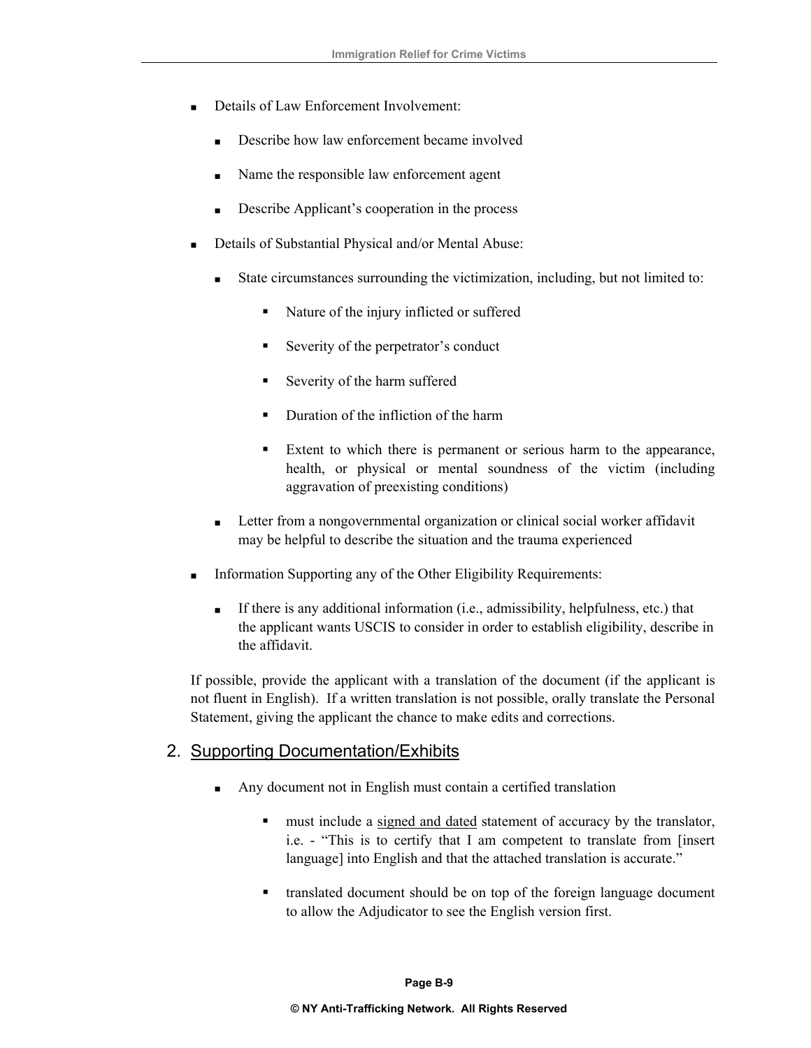- Details of Law Enforcement Involvement:
	- Describe how law enforcement became involved
	- Name the responsible law enforcement agent
	- Describe Applicant's cooperation in the process
- Details of Substantial Physical and/or Mental Abuse:
	- State circumstances surrounding the victimization, including, but not limited to:
		- Nature of the injury inflicted or suffered
		- Severity of the perpetrator's conduct
		- Severity of the harm suffered
		- Duration of the infliction of the harm
		- Extent to which there is permanent or serious harm to the appearance, health, or physical or mental soundness of the victim (including aggravation of preexisting conditions)
	- **Letter from a nongovernmental organization or clinical social worker affidavit** may be helpful to describe the situation and the trauma experienced
- Information Supporting any of the Other Eligibility Requirements:
	- If there is any additional information (i.e., admissibility, helpfulness, etc.) that the applicant wants USCIS to consider in order to establish eligibility, describe in the affidavit.

If possible, provide the applicant with a translation of the document (if the applicant is not fluent in English). If a written translation is not possible, orally translate the Personal Statement, giving the applicant the chance to make edits and corrections.

#### 2. Supporting Documentation/Exhibits

- Any document not in English must contain a certified translation
	- must include a signed and dated statement of accuracy by the translator, i.e. - "This is to certify that I am competent to translate from [insert language] into English and that the attached translation is accurate."
	- translated document should be on top of the foreign language document to allow the Adjudicator to see the English version first.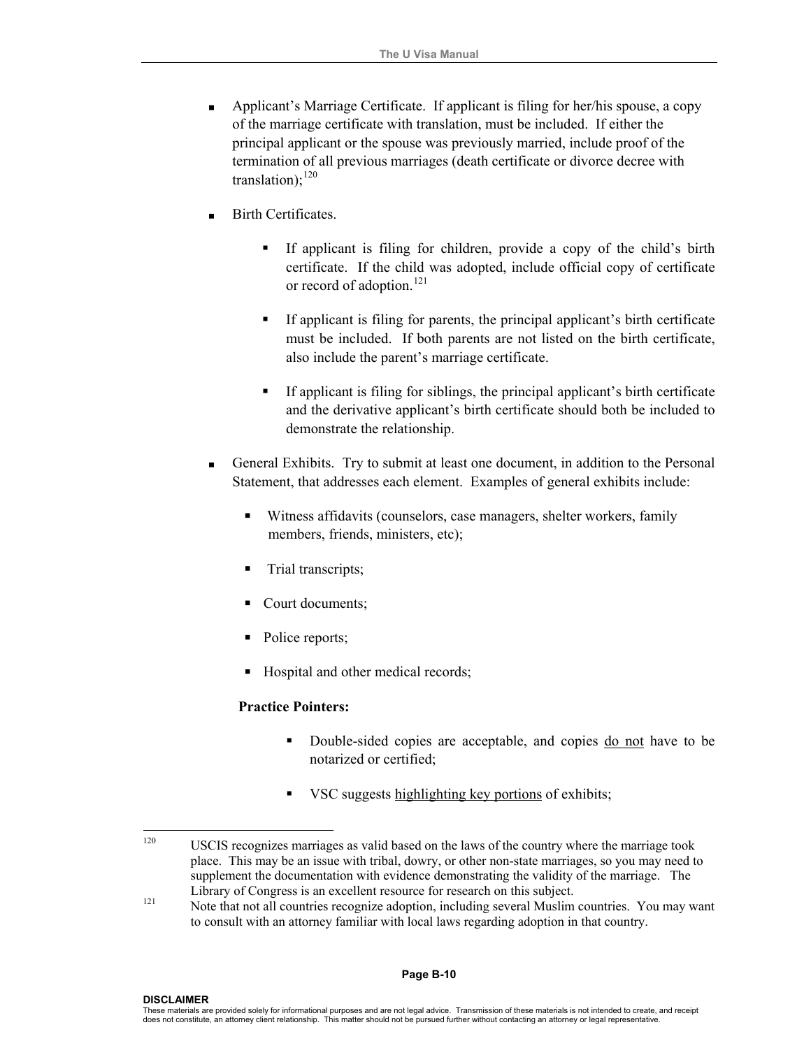- Applicant's Marriage Certificate. If applicant is filing for her/his spouse, a copy of the marriage certificate with translation, must be included. If either the principal applicant or the spouse was previously married, include proof of the termination of all previous marriages (death certificate or divorce decree with translation): $120$
- Birth Certificates.
	- If applicant is filing for children, provide a copy of the child's birth certificate. If the child was adopted, include official copy of certificate or record of adoption.<sup>[121](#page-43-1)</sup>
	- If applicant is filing for parents, the principal applicant's birth certificate must be included. If both parents are not listed on the birth certificate, also include the parent's marriage certificate.
	- If applicant is filing for siblings, the principal applicant's birth certificate and the derivative applicant's birth certificate should both be included to demonstrate the relationship.
- General Exhibits. Try to submit at least one document, in addition to the Personal Statement, that addresses each element. Examples of general exhibits include:
	- Witness affidavits (counselors, case managers, shelter workers, family members, friends, ministers, etc);
	- Trial transcripts;
	- Court documents;
	- Police reports;
	- Hospital and other medical records;

#### **Practice Pointers:**

- Double-sided copies are acceptable, and copies do not have to be notarized or certified;
- VSC suggests highlighting key portions of exhibits;

<span id="page-43-0"></span> $120$ 120 USCIS recognizes marriages as valid based on the laws of the country where the marriage took place. This may be an issue with tribal, dowry, or other non-state marriages, so you may need to supplement the documentation with evidence demonstrating the validity of the marriage. The

<span id="page-43-1"></span>Library of Congress is an excellent resource for research on this subject.<br>
121 Note that not all countries recognize adoption, including several Muslim countries. You may want to consult with an attorney familiar with local laws regarding adoption in that country.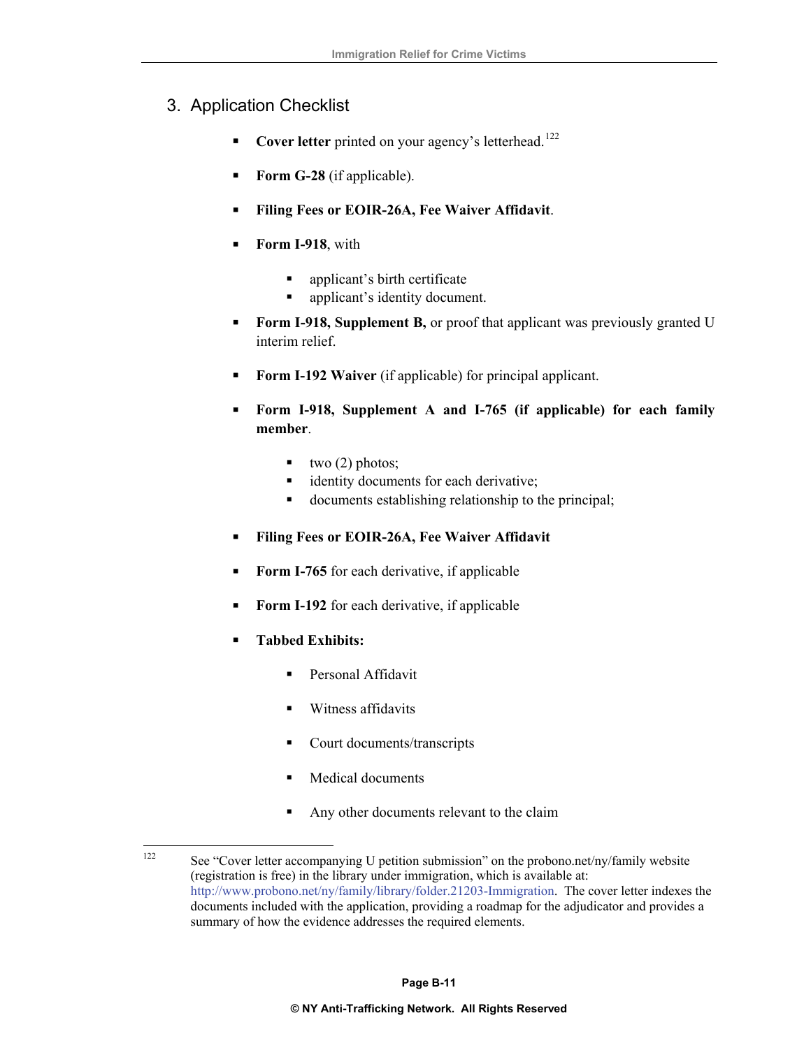# 3. Application Checklist

- **Cover letter** printed on your agency's letterhead.<sup>[122](#page-44-0)</sup>
- **Form G-28** (if applicable).
- **Filing Fees or EOIR-26A, Fee Waiver Affidavit**.
- **Form I-918**, with
	- applicant's birth certificate
	- applicant's identity document.
- **Form I-918, Supplement B,** or proof that applicant was previously granted U interim relief.
- **Form I-192 Waiver** (if applicable) for principal applicant.
- **Form I-918, Supplement A and I-765 (if applicable) for each family member**.
	- $\bullet$  two (2) photos;
	- identity documents for each derivative;
	- documents establishing relationship to the principal;
- **Filing Fees or EOIR-26A, Fee Waiver Affidavit**
- **Form I-765** for each derivative, if applicable
- **Form I-192** for each derivative, if applicable
- **Tabbed Exhibits:**
	- **Personal Affidavit**
	- **Witness affidavits**
	- Court documents/transcripts
	- **Medical documents**
	- Any other documents relevant to the claim

<span id="page-44-0"></span><sup>122</sup> See "Cover letter accompanying U petition submission" on the probono.net/ny/family website (registration is free) in the library under immigration, which is available at: [http://www.probono.net/ny/family/library/folder.21203-Immigration.](http://www.probono.net/ny/family/library/folder.21203-Immigration) The cover letter indexes the documents included with the application, providing a roadmap for the adjudicator and provides a summary of how the evidence addresses the required elements.